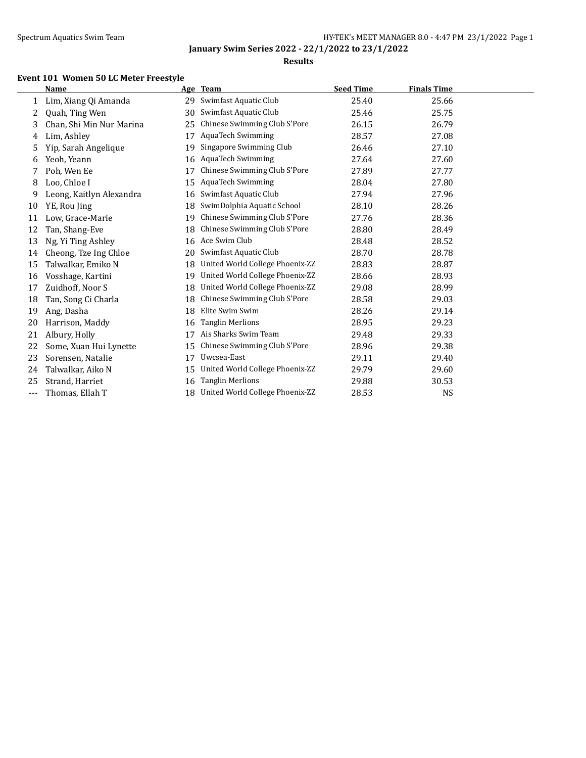$\overline{\phantom{0}}$ 

**January Swim Series 2022 - 22/1/2022 to 23/1/2022**

### **Results**

## **Event 101 Women 50 LC Meter Freestyle**

|     | <b>Name</b>              |    | Age Team                        | <b>Seed Time</b> | <b>Finals Time</b> |  |
|-----|--------------------------|----|---------------------------------|------------------|--------------------|--|
| 1   | Lim, Xiang Qi Amanda     | 29 | Swimfast Aquatic Club           | 25.40            | 25.66              |  |
| 2   | Quah, Ting Wen           | 30 | Swimfast Aquatic Club           | 25.46            | 25.75              |  |
| 3   | Chan, Shi Min Nur Marina | 25 | Chinese Swimming Club S'Pore    | 26.15            | 26.79              |  |
| 4   | Lim, Ashley              | 17 | <b>AquaTech Swimming</b>        | 28.57            | 27.08              |  |
| 5   | Yip, Sarah Angelique     | 19 | Singapore Swimming Club         | 26.46            | 27.10              |  |
| 6   | Yeoh, Yeann              | 16 | <b>AquaTech Swimming</b>        | 27.64            | 27.60              |  |
| 7   | Poh, Wen Ee              | 17 | Chinese Swimming Club S'Pore    | 27.89            | 27.77              |  |
| 8   | Loo, Chloe I             | 15 | <b>AquaTech Swimming</b>        | 28.04            | 27.80              |  |
| 9   | Leong, Kaitlyn Alexandra | 16 | Swimfast Aquatic Club           | 27.94            | 27.96              |  |
| 10  | YE, Rou Jing             | 18 | SwimDolphia Aquatic School      | 28.10            | 28.26              |  |
| 11  | Low, Grace-Marie         | 19 | Chinese Swimming Club S'Pore    | 27.76            | 28.36              |  |
| 12  | Tan, Shang-Eve           | 18 | Chinese Swimming Club S'Pore    | 28.80            | 28.49              |  |
| 13  | Ng, Yi Ting Ashley       | 16 | Ace Swim Club                   | 28.48            | 28.52              |  |
| 14  | Cheong, Tze Ing Chloe    | 20 | Swimfast Aquatic Club           | 28.70            | 28.78              |  |
| 15  | Talwalkar, Emiko N       | 18 | United World College Phoenix-ZZ | 28.83            | 28.87              |  |
| 16  | Vosshage, Kartini        | 19 | United World College Phoenix-ZZ | 28.66            | 28.93              |  |
| 17  | Zuidhoff, Noor S         | 18 | United World College Phoenix-ZZ | 29.08            | 28.99              |  |
| 18  | Tan, Song Ci Charla      | 18 | Chinese Swimming Club S'Pore    | 28.58            | 29.03              |  |
| 19  | Ang, Dasha               | 18 | Elite Swim Swim                 | 28.26            | 29.14              |  |
| 20  | Harrison, Maddy          | 16 | <b>Tanglin Merlions</b>         | 28.95            | 29.23              |  |
| 21  | Albury, Holly            | 17 | Ais Sharks Swim Team            | 29.48            | 29.33              |  |
| 22  | Some, Xuan Hui Lynette   | 15 | Chinese Swimming Club S'Pore    | 28.96            | 29.38              |  |
| 23  | Sorensen, Natalie        | 17 | Uwcsea-East                     | 29.11            | 29.40              |  |
| 24  | Talwalkar, Aiko N        | 15 | United World College Phoenix-ZZ | 29.79            | 29.60              |  |
| 25  | Strand, Harriet          | 16 | <b>Tanglin Merlions</b>         | 29.88            | 30.53              |  |
| --- | Thomas, Ellah T          | 18 | United World College Phoenix-ZZ | 28.53            | <b>NS</b>          |  |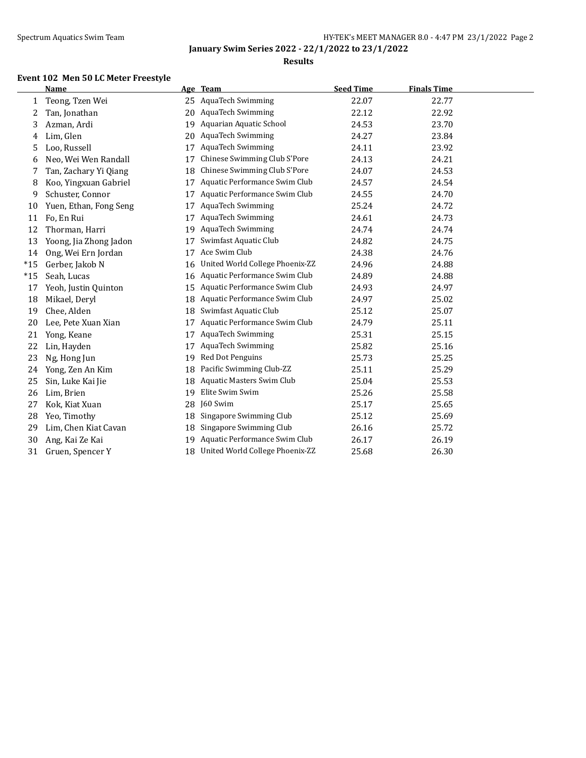### **Results**

### **Event 102 Men 50 LC Meter Freestyle**

|       | <b>Name</b>            |    | Age Team                        | <b>Seed Time</b> | <b>Finals Time</b> |
|-------|------------------------|----|---------------------------------|------------------|--------------------|
| 1     | Teong, Tzen Wei        | 25 | AquaTech Swimming               | 22.07            | 22.77              |
| 2     | Tan, Jonathan          | 20 | AquaTech Swimming               | 22.12            | 22.92              |
| 3     | Azman, Ardi            | 19 | Aquarian Aquatic School         | 24.53            | 23.70              |
| 4     | Lim, Glen              | 20 | <b>AquaTech Swimming</b>        | 24.27            | 23.84              |
| 5     | Loo, Russell           | 17 | <b>AquaTech Swimming</b>        | 24.11            | 23.92              |
| 6     | Neo, Wei Wen Randall   | 17 | Chinese Swimming Club S'Pore    | 24.13            | 24.21              |
| 7     | Tan, Zachary Yi Qiang  | 18 | Chinese Swimming Club S'Pore    | 24.07            | 24.53              |
| 8     | Koo, Yingxuan Gabriel  | 17 | Aquatic Performance Swim Club   | 24.57            | 24.54              |
| 9     | Schuster, Connor       | 17 | Aquatic Performance Swim Club   | 24.55            | 24.70              |
| 10    | Yuen, Ethan, Fong Seng | 17 | <b>AquaTech Swimming</b>        | 25.24            | 24.72              |
| 11    | Fo, En Rui             | 17 | AquaTech Swimming               | 24.61            | 24.73              |
| 12    | Thorman, Harri         | 19 | AquaTech Swimming               | 24.74            | 24.74              |
| 13    | Yoong, Jia Zhong Jadon | 17 | Swimfast Aquatic Club           | 24.82            | 24.75              |
| 14    | Ong, Wei Ern Jordan    | 17 | Ace Swim Club                   | 24.38            | 24.76              |
| $*15$ | Gerber, Jakob N        | 16 | United World College Phoenix-ZZ | 24.96            | 24.88              |
| $*15$ | Seah, Lucas            | 16 | Aquatic Performance Swim Club   | 24.89            | 24.88              |
| 17    | Yeoh, Justin Quinton   | 15 | Aquatic Performance Swim Club   | 24.93            | 24.97              |
| 18    | Mikael, Deryl          | 18 | Aquatic Performance Swim Club   | 24.97            | 25.02              |
| 19    | Chee, Alden            | 18 | Swimfast Aquatic Club           | 25.12            | 25.07              |
| 20    | Lee, Pete Xuan Xian    | 17 | Aquatic Performance Swim Club   | 24.79            | 25.11              |
| 21    | Yong, Keane            | 17 | <b>AquaTech Swimming</b>        | 25.31            | 25.15              |
| 22    | Lin, Hayden            | 17 | <b>AquaTech Swimming</b>        | 25.82            | 25.16              |
| 23    | Ng, Hong Jun           | 19 | Red Dot Penguins                | 25.73            | 25.25              |
| 24    | Yong, Zen An Kim       | 18 | Pacific Swimming Club-ZZ        | 25.11            | 25.29              |
| 25    | Sin, Luke Kai Jie      | 18 | Aquatic Masters Swim Club       | 25.04            | 25.53              |
| 26    | Lim, Brien             | 19 | Elite Swim Swim                 | 25.26            | 25.58              |
| 27    | Kok, Kiat Xuan         | 28 | J60 Swim                        | 25.17            | 25.65              |
| 28    | Yeo, Timothy           | 18 | Singapore Swimming Club         | 25.12            | 25.69              |
| 29    | Lim, Chen Kiat Cavan   | 18 | Singapore Swimming Club         | 26.16            | 25.72              |
| 30    | Ang, Kai Ze Kai        | 19 | Aquatic Performance Swim Club   | 26.17            | 26.19              |
| 31    | Gruen, Spencer Y       | 18 | United World College Phoenix-ZZ | 25.68            | 26.30              |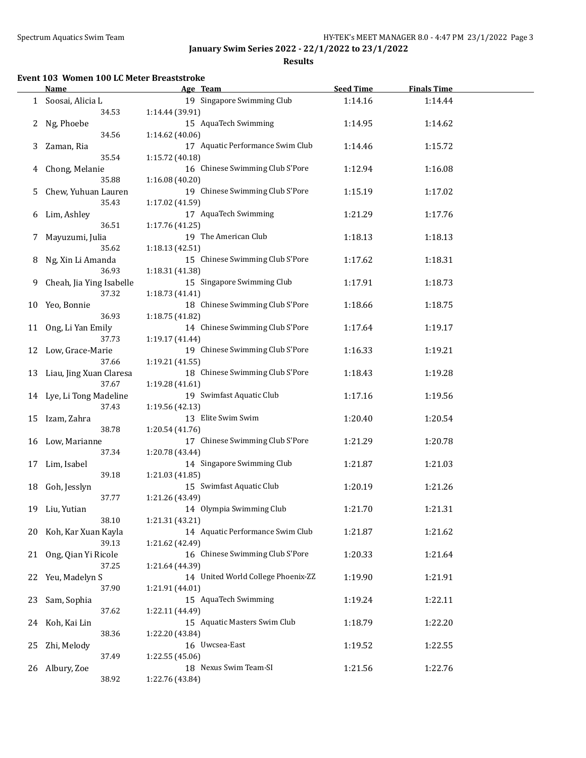**Results**

## **Event 103 Women 100 LC Meter Breaststroke**

|    | <b>Name</b>              | Age Team                           | <b>Seed Time</b> | <b>Finals Time</b> |  |
|----|--------------------------|------------------------------------|------------------|--------------------|--|
|    | 1 Soosai, Alicia L       | 19 Singapore Swimming Club         | 1:14.16          | 1:14.44            |  |
|    | 34.53                    | 1:14.44 (39.91)                    |                  |                    |  |
| 2  | Ng, Phoebe               | 15 AquaTech Swimming               | 1:14.95          | 1:14.62            |  |
|    | 34.56                    | 1:14.62 (40.06)                    |                  |                    |  |
| 3  | Zaman, Ria               | 17 Aquatic Performance Swim Club   | 1:14.46          | 1:15.72            |  |
|    | 35.54                    | 1:15.72 (40.18)                    |                  |                    |  |
| 4  | Chong, Melanie           | 16 Chinese Swimming Club S'Pore    | 1:12.94          | 1:16.08            |  |
|    | 35.88                    | 1:16.08 (40.20)                    |                  |                    |  |
|    |                          | 19 Chinese Swimming Club S'Pore    |                  |                    |  |
| 5. | Chew, Yuhuan Lauren      |                                    | 1:15.19          | 1:17.02            |  |
|    | 35.43                    | 1:17.02 (41.59)                    |                  |                    |  |
| 6  | Lim, Ashley              | 17 AquaTech Swimming               | 1:21.29          | 1:17.76            |  |
|    | 36.51                    | 1:17.76 (41.25)                    |                  |                    |  |
| 7  | Mayuzumi, Julia          | 19 The American Club               | 1:18.13          | 1:18.13            |  |
|    | 35.62                    | 1:18.13 (42.51)                    |                  |                    |  |
| 8  | Ng, Xin Li Amanda        | 15 Chinese Swimming Club S'Pore    | 1:17.62          | 1:18.31            |  |
|    | 36.93                    | 1:18.31 (41.38)                    |                  |                    |  |
| 9  | Cheah, Jia Ying Isabelle | 15 Singapore Swimming Club         | 1:17.91          | 1:18.73            |  |
|    | 37.32                    | 1:18.73 (41.41)                    |                  |                    |  |
| 10 | Yeo, Bonnie              | 18 Chinese Swimming Club S'Pore    | 1:18.66          | 1:18.75            |  |
|    | 36.93                    | 1:18.75 (41.82)                    |                  |                    |  |
| 11 | Ong, Li Yan Emily        | 14 Chinese Swimming Club S'Pore    | 1:17.64          | 1:19.17            |  |
|    | 37.73                    | 1:19.17 (41.44)                    |                  |                    |  |
| 12 | Low, Grace-Marie         | 19 Chinese Swimming Club S'Pore    | 1:16.33          | 1:19.21            |  |
|    | 37.66                    | 1:19.21 (41.55)                    |                  |                    |  |
| 13 | Liau, Jing Xuan Claresa  | 18 Chinese Swimming Club S'Pore    | 1:18.43          | 1:19.28            |  |
|    | 37.67                    | 1:19.28 (41.61)                    |                  |                    |  |
|    | 14 Lye, Li Tong Madeline | 19 Swimfast Aquatic Club           | 1:17.16          | 1:19.56            |  |
|    | 37.43                    | 1:19.56 (42.13)                    |                  |                    |  |
| 15 | Izam, Zahra              | 13 Elite Swim Swim                 | 1:20.40          | 1:20.54            |  |
|    | 38.78                    | 1:20.54 (41.76)                    |                  |                    |  |
|    |                          | 17 Chinese Swimming Club S'Pore    |                  |                    |  |
|    | 16 Low, Marianne         |                                    | 1:21.29          | 1:20.78            |  |
|    | 37.34                    | 1:20.78 (43.44)                    |                  |                    |  |
| 17 | Lim, Isabel              | 14 Singapore Swimming Club         | 1:21.87          | 1:21.03            |  |
|    | 39.18                    | 1:21.03 (41.85)                    |                  |                    |  |
| 18 | Goh, Jesslyn             | 15 Swimfast Aquatic Club           | 1:20.19          | 1:21.26            |  |
|    | 37.77                    | 1:21.26 (43.49)                    |                  |                    |  |
|    | 19 Liu, Yutian           | 14 Olympia Swimming Club           | 1:21.70          | 1:21.31            |  |
|    | 38.10                    | 1:21.31 (43.21)                    |                  |                    |  |
| 20 | Koh, Kar Xuan Kayla      | 14 Aquatic Performance Swim Club   | 1:21.87          | 1:21.62            |  |
|    | 39.13                    | 1:21.62 (42.49)                    |                  |                    |  |
| 21 | Ong, Qian Yi Ricole      | 16 Chinese Swimming Club S'Pore    | 1:20.33          | 1:21.64            |  |
|    | 37.25                    | 1:21.64 (44.39)                    |                  |                    |  |
| 22 | Yeu, Madelyn S           | 14 United World College Phoenix-ZZ | 1:19.90          | 1:21.91            |  |
|    | 37.90                    | 1:21.91 (44.01)                    |                  |                    |  |
| 23 | Sam, Sophia              | 15 AquaTech Swimming               | 1:19.24          | 1:22.11            |  |
|    | 37.62                    | 1:22.11 (44.49)                    |                  |                    |  |
| 24 | Koh, Kai Lin             | 15 Aquatic Masters Swim Club       | 1:18.79          | 1:22.20            |  |
|    | 38.36                    | 1:22.20 (43.84)                    |                  |                    |  |
| 25 | Zhi, Melody              | 16 Uwcsea-East                     | 1:19.52          | 1:22.55            |  |
|    | 37.49                    | 1:22.55 (45.06)                    |                  |                    |  |
|    | 26 Albury, Zoe           | 18 Nexus Swim Team-SI              | 1:21.56          | 1:22.76            |  |
|    | 38.92                    | 1:22.76 (43.84)                    |                  |                    |  |
|    |                          |                                    |                  |                    |  |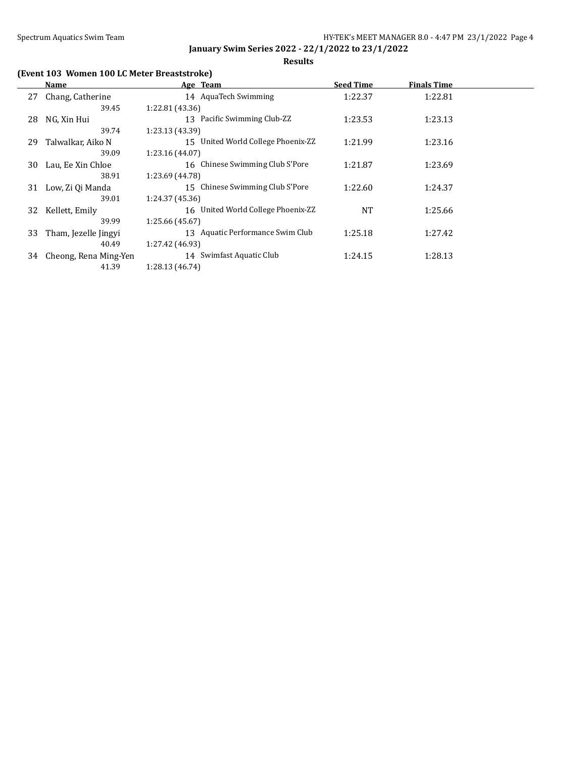**Results**

# **(Event 103 Women 100 LC Meter Breaststroke)**

|    | Name                  | Age Team                           | <b>Seed Time</b> | <b>Finals Time</b> |  |
|----|-----------------------|------------------------------------|------------------|--------------------|--|
| 27 | Chang, Catherine      | 14 AquaTech Swimming               | 1:22.37          | 1:22.81            |  |
|    | 39.45                 | 1:22.81 (43.36)                    |                  |                    |  |
| 28 | NG, Xin Hui           | 13 Pacific Swimming Club-ZZ        | 1:23.53          | 1:23.13            |  |
|    | 39.74                 | 1:23.13 (43.39)                    |                  |                    |  |
| 29 | Talwalkar, Aiko N     | 15 United World College Phoenix-ZZ | 1:21.99          | 1:23.16            |  |
|    | 39.09                 | 1:23.16 (44.07)                    |                  |                    |  |
| 30 | Lau, Ee Xin Chloe     | 16 Chinese Swimming Club S'Pore    | 1:21.87          | 1:23.69            |  |
|    | 38.91                 | 1:23.69 (44.78)                    |                  |                    |  |
| 31 | Low, Zi Qi Manda      | 15 Chinese Swimming Club S'Pore    | 1:22.60          | 1:24.37            |  |
|    | 39.01                 | 1:24.37 (45.36)                    |                  |                    |  |
| 32 | Kellett, Emily        | 16 United World College Phoenix-ZZ | <b>NT</b>        | 1:25.66            |  |
|    | 39.99                 | 1:25.66 (45.67)                    |                  |                    |  |
| 33 | Tham, Jezelle Jingyi  | 13 Aquatic Performance Swim Club   | 1:25.18          | 1:27.42            |  |
|    | 40.49                 | 1:27.42 (46.93)                    |                  |                    |  |
| 34 | Cheong, Rena Ming-Yen | 14 Swimfast Aquatic Club           | 1:24.15          | 1:28.13            |  |
|    | 41.39                 | 1:28.13 (46.74)                    |                  |                    |  |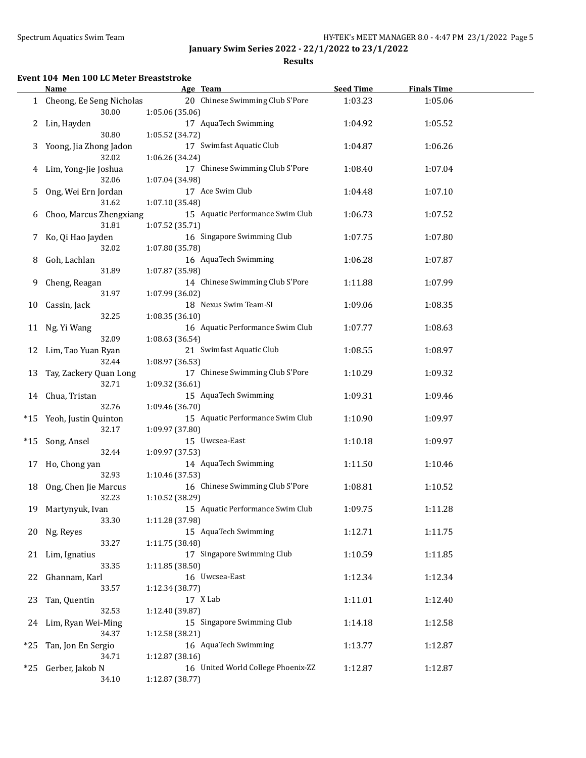**Results**

#### **Event 104 Men 100 LC Meter Breaststroke**

|       | <b>Name</b>                         | Age Team                                              | <b>Seed Time</b> | <b>Finals Time</b> |  |
|-------|-------------------------------------|-------------------------------------------------------|------------------|--------------------|--|
|       | 1 Cheong, Ee Seng Nicholas<br>30.00 | 20 Chinese Swimming Club S'Pore<br>1:05.06 (35.06)    | 1:03.23          | 1:05.06            |  |
|       | 2 Lin, Hayden<br>30.80              | 17 AquaTech Swimming<br>1:05.52 (34.72)               | 1:04.92          | 1:05.52            |  |
| 3     | Yoong, Jia Zhong Jadon<br>32.02     | 17 Swimfast Aquatic Club<br>1:06.26 (34.24)           | 1:04.87          | 1:06.26            |  |
| 4     | Lim, Yong-Jie Joshua<br>32.06       | 17 Chinese Swimming Club S'Pore<br>1:07.04 (34.98)    | 1:08.40          | 1:07.04            |  |
| 5     | Ong, Wei Ern Jordan<br>31.62        | 17 Ace Swim Club<br>1:07.10 (35.48)                   | 1:04.48          | 1:07.10            |  |
| 6     | Choo, Marcus Zhengxiang<br>31.81    | 15 Aquatic Performance Swim Club<br>1:07.52 (35.71)   | 1:06.73          | 1:07.52            |  |
| 7     | Ko, Qi Hao Jayden<br>32.02          | 16 Singapore Swimming Club<br>1:07.80 (35.78)         | 1:07.75          | 1:07.80            |  |
| 8     | Goh, Lachlan<br>31.89               | 16 AquaTech Swimming<br>1:07.87 (35.98)               | 1:06.28          | 1:07.87            |  |
| 9.    | Cheng, Reagan<br>31.97              | 14 Chinese Swimming Club S'Pore<br>1:07.99 (36.02)    | 1:11.88          | 1:07.99            |  |
| 10    | Cassin, Jack<br>32.25               | 18 Nexus Swim Team-SI<br>1:08.35(36.10)               | 1:09.06          | 1:08.35            |  |
| 11    | Ng, Yi Wang<br>32.09                | 16 Aquatic Performance Swim Club<br>1:08.63 (36.54)   | 1:07.77          | 1:08.63            |  |
| 12    | Lim, Tao Yuan Ryan<br>32.44         | 21 Swimfast Aquatic Club<br>1:08.97 (36.53)           | 1:08.55          | 1:08.97            |  |
| 13    | Tay, Zackery Quan Long<br>32.71     | 17 Chinese Swimming Club S'Pore<br>1:09.32 (36.61)    | 1:10.29          | 1:09.32            |  |
| 14    | Chua, Tristan<br>32.76              | 15 AquaTech Swimming<br>1:09.46 (36.70)               | 1:09.31          | 1:09.46            |  |
| *15   | Yeoh, Justin Quinton<br>32.17       | 15 Aquatic Performance Swim Club<br>1:09.97 (37.80)   | 1:10.90          | 1:09.97            |  |
| $*15$ | Song, Ansel<br>32.44                | 15 Uwcsea-East<br>1:09.97 (37.53)                     | 1:10.18          | 1:09.97            |  |
| 17    | Ho, Chong yan<br>32.93              | 14 AquaTech Swimming<br>1:10.46 (37.53)               | 1:11.50          | 1:10.46            |  |
| 18    | Ong, Chen Jie Marcus<br>32.23       | 16 Chinese Swimming Club S'Pore<br>1:10.52 (38.29)    | 1:08.81          | 1:10.52            |  |
| 19    | Martynyuk, Ivan<br>33.30            | 15 Aquatic Performance Swim Club<br>1:11.28 (37.98)   | 1:09.75          | 1:11.28            |  |
|       | 20 Ng, Reyes<br>33.27               | 15 AquaTech Swimming<br>1:11.75 (38.48)               | 1:12.71          | 1:11.75            |  |
|       | 21 Lim, Ignatius<br>33.35           | 17 Singapore Swimming Club<br>1:11.85(38.50)          | 1:10.59          | 1:11.85            |  |
| 22    | Ghannam, Karl<br>33.57              | 16 Uwcsea-East<br>1:12.34 (38.77)                     | 1:12.34          | 1:12.34            |  |
| 23    | Tan, Quentin<br>32.53               | 17 X Lab<br>1:12.40 (39.87)                           | 1:11.01          | 1:12.40            |  |
| 24    | Lim, Ryan Wei-Ming<br>34.37         | 15 Singapore Swimming Club<br>1:12.58 (38.21)         | 1:14.18          | 1:12.58            |  |
| $*25$ | Tan, Jon En Sergio<br>34.71         | 16 AquaTech Swimming<br>1:12.87 (38.16)               | 1:13.77          | 1:12.87            |  |
| $*25$ | Gerber, Jakob N<br>34.10            | 16 United World College Phoenix-ZZ<br>1:12.87 (38.77) | 1:12.87          | 1:12.87            |  |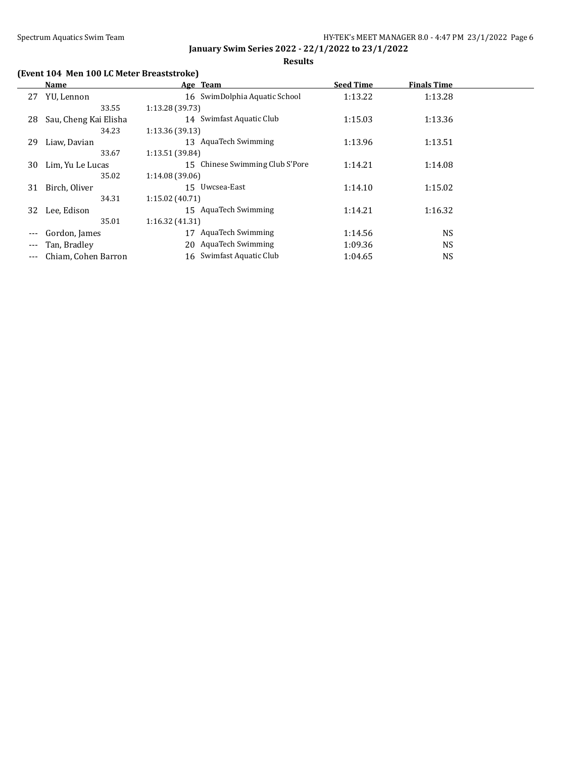**Results**

# **(Event 104 Men 100 LC Meter Breaststroke)**

|         | Name                  | Age Team                        | <b>Seed Time</b> | <b>Finals Time</b> |  |
|---------|-----------------------|---------------------------------|------------------|--------------------|--|
| 27      | YU, Lennon            | 16 SwimDolphia Aquatic School   | 1:13.22          | 1:13.28            |  |
|         | 33.55                 | 1:13.28 (39.73)                 |                  |                    |  |
| 28      | Sau, Cheng Kai Elisha | 14 Swimfast Aquatic Club        | 1:15.03          | 1:13.36            |  |
|         | 34.23                 | 1:13.36(39.13)                  |                  |                    |  |
| 29      | Liaw, Davian          | 13 AquaTech Swimming            | 1:13.96          | 1:13.51            |  |
|         | 33.67                 | 1:13.51 (39.84)                 |                  |                    |  |
| 30      | Lim, Yu Le Lucas      | 15 Chinese Swimming Club S'Pore | 1:14.21          | 1:14.08            |  |
|         | 35.02                 | 1:14.08 (39.06)                 |                  |                    |  |
| 31      | Birch, Oliver         | 15 Uwcsea-East                  | 1:14.10          | 1:15.02            |  |
|         | 34.31                 | 1:15.02(40.71)                  |                  |                    |  |
| 32      | Lee, Edison           | 15 AquaTech Swimming            | 1:14.21          | 1:16.32            |  |
|         | 35.01                 | 1:16.32(41.31)                  |                  |                    |  |
|         | Gordon, James         | <b>AquaTech Swimming</b><br>17  | 1:14.56          | NS.                |  |
|         | Tan, Bradley          | AquaTech Swimming<br>20         | 1:09.36          | <b>NS</b>          |  |
| $- - -$ | Chiam, Cohen Barron   | 16 Swimfast Aquatic Club        | 1:04.65          | NS                 |  |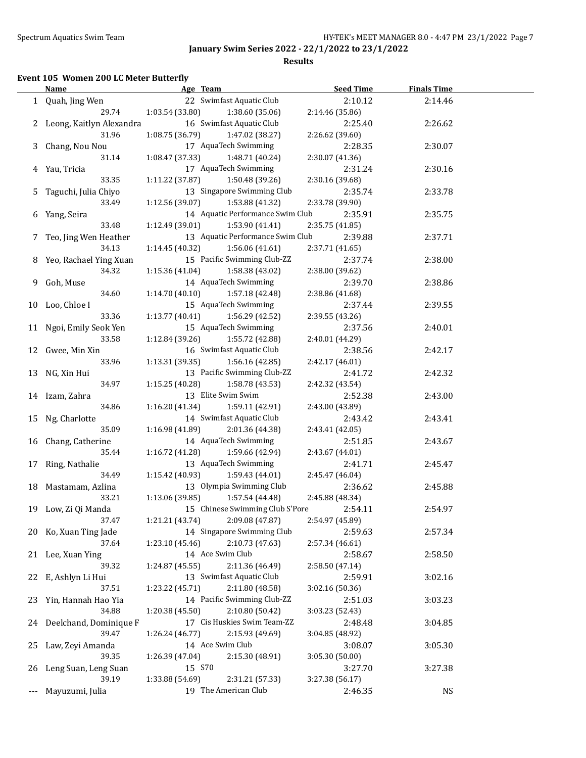**Results**

# **Event 105 Women 200 LC Meter Butterfly**

|     | Name                       |                 | Age Team                         | <b>Seed Time</b> | <b>Finals Time</b> |  |
|-----|----------------------------|-----------------|----------------------------------|------------------|--------------------|--|
|     | 1 Quah, Jing Wen           |                 | 22 Swimfast Aquatic Club         | 2:10.12          | 2:14.46            |  |
|     | 29.74                      | 1:03.54 (33.80) | 1:38.60 (35.06)                  | 2:14.46 (35.86)  |                    |  |
|     | 2 Leong, Kaitlyn Alexandra |                 | 16 Swimfast Aquatic Club         | 2:25.40          | 2:26.62            |  |
|     | 31.96                      | 1:08.75(36.79)  | 1:47.02 (38.27)                  | 2:26.62 (39.60)  |                    |  |
|     | 3 Chang, Nou Nou           |                 | 17 AquaTech Swimming             | 2:28.35          | 2:30.07            |  |
|     | 31.14                      | 1:08.47 (37.33) | 1:48.71 (40.24)                  | 2:30.07 (41.36)  |                    |  |
|     | 4 Yau, Tricia              |                 | 17 AquaTech Swimming             | 2:31.24          | 2:30.16            |  |
|     | 33.35                      | 1:11.22(37.87)  | 1:50.48 (39.26)                  | 2:30.16 (39.68)  |                    |  |
| 5   | Taguchi, Julia Chiyo       |                 | 13 Singapore Swimming Club       | 2:35.74          | 2:33.78            |  |
|     | 33.49                      | 1:12.56 (39.07) | 1:53.88 (41.32)                  | 2:33.78 (39.90)  |                    |  |
|     | 6 Yang, Seira              |                 | 14 Aquatic Performance Swim Club | 2:35.91          | 2:35.75            |  |
|     | 33.48                      | 1:12.49(39.01)  | 1:53.90 (41.41)                  | 2:35.75 (41.85)  |                    |  |
|     | 7 Teo, Jing Wen Heather    |                 | 13 Aquatic Performance Swim Club | 2:39.88          | 2:37.71            |  |
|     | 34.13                      | 1:14.45(40.32)  | 1:56.06 (41.61)                  | 2:37.71 (41.65)  |                    |  |
|     | 8 Yeo, Rachael Ying Xuan   |                 | 15 Pacific Swimming Club-ZZ      | 2:37.74          | 2:38.00            |  |
|     | 34.32                      | 1:15.36 (41.04) | 1:58.38 (43.02)                  | 2:38.00 (39.62)  |                    |  |
|     |                            |                 | 14 AquaTech Swimming             |                  |                    |  |
| 9.  | Goh, Muse                  |                 |                                  | 2:39.70          | 2:38.86            |  |
|     | 34.60                      | 1:14.70(40.10)  | 1:57.18 (42.48)                  | 2:38.86 (41.68)  |                    |  |
|     | 10 Loo, Chloe I            |                 | 15 AquaTech Swimming             | 2:37.44          | 2:39.55            |  |
|     | 33.36                      | 1:13.77(40.41)  | 1:56.29 (42.52)                  | 2:39.55 (43.26)  |                    |  |
|     | 11 Ngoi, Emily Seok Yen    |                 | 15 AquaTech Swimming             | 2:37.56          | 2:40.01            |  |
|     | 33.58                      | 1:12.84 (39.26) | 1:55.72 (42.88)                  | 2:40.01 (44.29)  |                    |  |
|     | 12 Gwee, Min Xin           |                 | 16 Swimfast Aquatic Club         | 2:38.56          | 2:42.17            |  |
|     | 33.96                      | 1:13.31(39.35)  | 1:56.16 (42.85)                  | 2:42.17 (46.01)  |                    |  |
|     | 13 NG, Xin Hui             |                 | 13 Pacific Swimming Club-ZZ      | 2:41.72          | 2:42.32            |  |
|     | 34.97                      | 1:15.25 (40.28) | 1:58.78 (43.53)                  | 2:42.32 (43.54)  |                    |  |
|     | 14 Izam, Zahra             |                 | 13 Elite Swim Swim               | 2:52.38          | 2:43.00            |  |
|     | 34.86                      | 1:16.20(41.34)  | 1:59.11 (42.91)                  | 2:43.00 (43.89)  |                    |  |
|     | 15 Ng, Charlotte           |                 | 14 Swimfast Aquatic Club         | 2:43.42          | 2:43.41            |  |
|     | 35.09                      | 1:16.98(41.89)  | 2:01.36 (44.38)                  | 2:43.41 (42.05)  |                    |  |
|     | 16 Chang, Catherine        |                 | 14 AquaTech Swimming             | 2:51.85          | 2:43.67            |  |
|     | 35.44                      | 1:16.72 (41.28) | 1:59.66 (42.94)                  | 2:43.67 (44.01)  |                    |  |
|     | 17 Ring, Nathalie          |                 | 13 AquaTech Swimming             | 2:41.71          | 2:45.47            |  |
|     | 34.49                      | 1:15.42 (40.93) | 1:59.43 (44.01)                  | 2:45.47 (46.04)  |                    |  |
|     | 18 Mastamam, Azlina        |                 | 13 Olympia Swimming Club         | 2:36.62          | 2:45.88            |  |
|     | 33.21                      | 1:13.06 (39.85) | 1:57.54 (44.48)                  | 2:45.88 (48.34)  |                    |  |
|     | 19 Low, Zi Qi Manda        |                 | 15 Chinese Swimming Club S'Pore  | 2:54.11          | 2:54.97            |  |
|     | 37.47                      | 1:21.21 (43.74) | 2:09.08 (47.87)                  | 2:54.97 (45.89)  |                    |  |
|     | 20 Ko, Xuan Ting Jade      |                 | 14 Singapore Swimming Club       | 2:59.63          | 2:57.34            |  |
|     | 37.64                      | 1:23.10 (45.46) | 2:10.73 (47.63)                  | 2:57.34 (46.61)  |                    |  |
|     | 21 Lee, Xuan Ying          |                 | 14 Ace Swim Club                 | 2:58.67          | 2:58.50            |  |
|     | 39.32                      | 1:24.87 (45.55) | 2:11.36 (46.49)                  | 2:58.50 (47.14)  |                    |  |
| 22  | E, Ashlyn Li Hui           |                 | 13 Swimfast Aquatic Club         | 2:59.91          | 3:02.16            |  |
|     | 37.51                      | 1:23.22 (45.71) | 2:11.80 (48.58)                  | 3:02.16 (50.36)  |                    |  |
|     | 23 Yin, Hannah Hao Yia     |                 | 14 Pacific Swimming Club-ZZ      | 2:51.03          | 3:03.23            |  |
|     | 34.88                      | 1:20.38 (45.50) | 2:10.80 (50.42)                  | 3:03.23 (52.43)  |                    |  |
|     | 24 Deelchand, Dominique F  |                 | 17 Cis Huskies Swim Team-ZZ      | 2:48.48          | 3:04.85            |  |
|     | 39.47                      | 1:26.24 (46.77) | 2:15.93 (49.69)                  | 3:04.85 (48.92)  |                    |  |
| 25  | Law, Zeyi Amanda           |                 | 14 Ace Swim Club                 | 3:08.07          | 3:05.30            |  |
|     | 39.35                      | 1:26.39 (47.04) | 2:15.30 (48.91)                  | 3:05.30 (50.00)  |                    |  |
|     | 26 Leng Suan, Leng Suan    |                 | 15 S70                           | 3:27.70          | 3:27.38            |  |
|     | 39.19                      | 1:33.88 (54.69) | 2:31.21 (57.33)                  | 3:27.38 (56.17)  |                    |  |
|     | Mayuzumi, Julia            |                 | 19 The American Club             | 2:46.35          | NS                 |  |
| --- |                            |                 |                                  |                  |                    |  |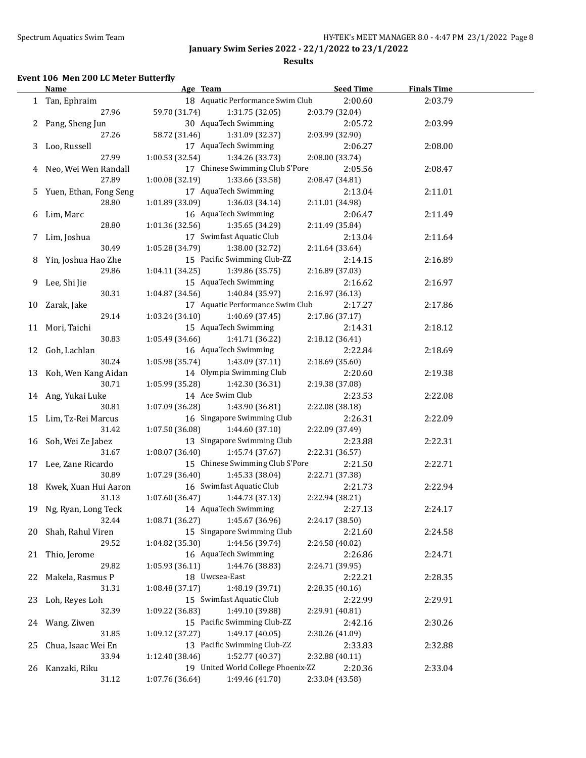**Results**

#### **Event 106 Men 200 LC Meter Butterfly**

|    | <b>Name</b>              | Age Team                           | <b>Seed Time</b> | <b>Finals Time</b> |  |
|----|--------------------------|------------------------------------|------------------|--------------------|--|
|    | 1 Tan, Ephraim           | 18 Aquatic Performance Swim Club   | 2:00.60          | 2:03.79            |  |
|    | 27.96                    | 59.70 (31.74)<br>1:31.75 (32.05)   | 2:03.79 (32.04)  |                    |  |
|    | 2 Pang, Sheng Jun        | 30 AquaTech Swimming               | 2:05.72          | 2:03.99            |  |
|    | 27.26                    | 58.72 (31.46)<br>1:31.09 (32.37)   | 2:03.99 (32.90)  |                    |  |
|    | 3 Loo, Russell           | 17 AquaTech Swimming               | 2:06.27          | 2:08.00            |  |
|    | 27.99                    | 1:00.53(32.54)<br>1:34.26 (33.73)  | 2:08.00 (33.74)  |                    |  |
|    | 4 Neo, Wei Wen Randall   | 17 Chinese Swimming Club S'Pore    | 2:05.56          | 2:08.47            |  |
|    | 27.89                    | 1:00.08 (32.19)<br>1:33.66 (33.58) | 2:08.47 (34.81)  |                    |  |
|    | 5 Yuen, Ethan, Fong Seng | 17 AquaTech Swimming               | 2:13.04          | 2:11.01            |  |
|    | 28.80                    | 1:01.89 (33.09)<br>1:36.03 (34.14) | 2:11.01 (34.98)  |                    |  |
|    | 6 Lim, Marc              | 16 AquaTech Swimming               | 2:06.47          | 2:11.49            |  |
|    | 28.80                    | 1:01.36(32.56)<br>1:35.65 (34.29)  | 2:11.49 (35.84)  |                    |  |
|    | 7 Lim, Joshua            | 17 Swimfast Aquatic Club           | 2:13.04          | 2:11.64            |  |
|    | 30.49                    | 1:05.28(34.79)<br>1:38.00 (32.72)  | 2:11.64 (33.64)  |                    |  |
|    | 8 Yin, Joshua Hao Zhe    | 15 Pacific Swimming Club-ZZ        | 2:14.15          | 2:16.89            |  |
|    | 29.86                    | 1:04.11 (34.25)<br>1:39.86 (35.75) | 2:16.89 (37.03)  |                    |  |
|    | 9 Lee, Shi Jie           | 15 AquaTech Swimming               | 2:16.62          | 2:16.97            |  |
|    | 30.31                    | 1:40.84 (35.97)<br>1:04.87(34.56)  | 2:16.97 (36.13)  |                    |  |
|    | 10 Zarak, Jake           | 17 Aquatic Performance Swim Club   | 2:17.27          | 2:17.86            |  |
|    | 29.14                    | 1:03.24(34.10)<br>1:40.69 (37.45)  | 2:17.86 (37.17)  |                    |  |
|    | 11 Mori, Taichi          | 15 AquaTech Swimming               | 2:14.31          | 2:18.12            |  |
|    | 30.83                    | 1:05.49(34.66)<br>1:41.71 (36.22)  | 2:18.12 (36.41)  |                    |  |
|    | 12 Goh, Lachlan          | 16 AquaTech Swimming               | 2:22.84          | 2:18.69            |  |
|    | 30.24                    | 1:05.98(35.74)<br>1:43.09 (37.11)  | 2:18.69 (35.60)  |                    |  |
|    | 13 Koh, Wen Kang Aidan   | 14 Olympia Swimming Club           | 2:20.60          | 2:19.38            |  |
|    | 30.71                    | 1:05.99 (35.28)<br>1:42.30 (36.31) | 2:19.38 (37.08)  |                    |  |
|    | 14 Ang, Yukai Luke       | 14 Ace Swim Club                   | 2:23.53          | 2:22.08            |  |
|    | 30.81                    | 1:07.09 (36.28)<br>1:43.90 (36.81) | 2:22.08 (38.18)  |                    |  |
|    | 15 Lim, Tz-Rei Marcus    | 16 Singapore Swimming Club         | 2:26.31          | 2:22.09            |  |
|    | 31.42                    | 1:07.50 (36.08)<br>1:44.60 (37.10) | 2:22.09 (37.49)  |                    |  |
|    | 16 Soh, Wei Ze Jabez     | 13 Singapore Swimming Club         | 2:23.88          | 2:22.31            |  |
|    | 31.67                    | 1:08.07(36.40)<br>1:45.74 (37.67)  | 2:22.31 (36.57)  |                    |  |
|    | 17 Lee, Zane Ricardo     | 15 Chinese Swimming Club S'Pore    | 2:21.50          | 2:22.71            |  |
|    | 30.89                    | 1:07.29 (36.40)<br>1:45.33 (38.04) | 2:22.71 (37.38)  |                    |  |
|    | 18 Kwek, Xuan Hui Aaron  | 16 Swimfast Aquatic Club           | 2:21.73          | 2:22.94            |  |
|    | 31.13                    | 1:07.60 (36.47)<br>1:44.73 (37.13) | 2:22.94 (38.21)  |                    |  |
|    | 19 Ng, Ryan, Long Teck   | 14 AquaTech Swimming               | 2:27.13          | 2:24.17            |  |
|    | 32.44                    | 1:45.67 (36.96)<br>1:08.71 (36.27) | 2:24.17 (38.50)  |                    |  |
| 20 | Shah, Rahul Viren        | 15 Singapore Swimming Club         | 2:21.60          | 2:24.58            |  |
|    | 29.52                    | 1:44.56 (39.74)<br>1:04.82 (35.30) | 2:24.58 (40.02)  |                    |  |
| 21 | Thio, Jerome             | 16 AquaTech Swimming               | 2:26.86          | 2:24.71            |  |
|    | 29.82                    | 1:44.76 (38.83)<br>1:05.93 (36.11) | 2:24.71 (39.95)  |                    |  |
| 22 | Makela, Rasmus P         | 18 Uwcsea-East                     | 2:22.21          | 2:28.35            |  |
|    | 31.31                    | 1:48.19 (39.71)<br>1:08.48(37.17)  | 2:28.35 (40.16)  |                    |  |
| 23 | Loh, Reyes Loh           | 15 Swimfast Aquatic Club           | 2:22.99          | 2:29.91            |  |
|    | 32.39                    | 1:49.10 (39.88)<br>1:09.22 (36.83) | 2:29.91 (40.81)  |                    |  |
|    | 24 Wang, Ziwen           | 15 Pacific Swimming Club-ZZ        | 2:42.16          | 2:30.26            |  |
|    | 31.85                    | 1:49.17 (40.05)<br>1:09.12 (37.27) | 2:30.26 (41.09)  |                    |  |
| 25 | Chua, Isaac Wei En       | 13 Pacific Swimming Club-ZZ        | 2:33.83          | 2:32.88            |  |
|    | 33.94                    | 1:52.77 (40.37)<br>1:12.40 (38.46) | 2:32.88 (40.11)  |                    |  |
|    | 26 Kanzaki, Riku         | 19 United World College Phoenix-ZZ | 2:20.36          | 2:33.04            |  |
|    | 31.12                    | 1:07.76 (36.64)<br>1:49.46 (41.70) | 2:33.04 (43.58)  |                    |  |
|    |                          |                                    |                  |                    |  |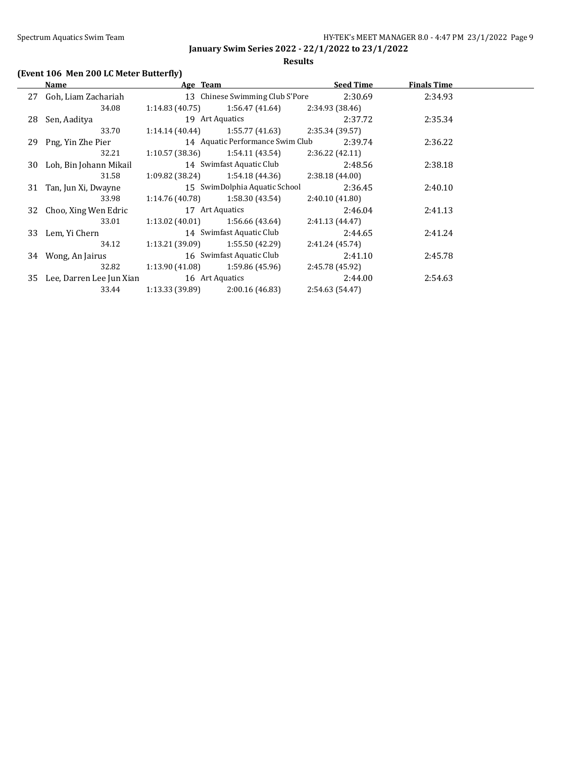### **Results**

# **(Event 106 Men 200 LC Meter Butterfly)**

| Name                        | Age Team        |                                   | <b>Seed Time</b> | <b>Finals Time</b> |  |
|-----------------------------|-----------------|-----------------------------------|------------------|--------------------|--|
| 27 Goh, Liam Zachariah      |                 | 13 Chinese Swimming Club S'Pore   | 2:30.69          | 2:34.93            |  |
| 34.08                       | 1:14.83(40.75)  | 1:56.47 (41.64)                   | 2:34.93 (38.46)  |                    |  |
| 28 Sen, Aaditya             |                 | 19 Art Aquatics                   | 2:37.72          | 2:35.34            |  |
| 33.70                       |                 | $1:14.14(40.44)$ $1:55.77(41.63)$ | 2:35.34 (39.57)  |                    |  |
| 29 Png, Yin Zhe Pier        |                 | 14 Aquatic Performance Swim Club  | 2:39.74          | 2:36.22            |  |
| 32.21                       |                 | $1:10.57(38.36)$ $1:54.11(43.54)$ | 2:36.22(42.11)   |                    |  |
| 30 Loh, Bin Johann Mikail   |                 | 14 Swimfast Aquatic Club          | 2:48.56          | 2:38.18            |  |
| 31.58                       | 1:09.82 (38.24) | 1:54.18 (44.36)                   | 2:38.18 (44.00)  |                    |  |
| 31 Tan, Jun Xi, Dwayne      |                 | 15 SwimDolphia Aquatic School     | 2:36.45          | 2:40.10            |  |
| 33.98                       | 1:14.76 (40.78) | 1:58.30 (43.54)                   | 2:40.10 (41.80)  |                    |  |
| 32 Choo, Xing Wen Edric     |                 | 17 Art Aquatics                   | 2:46.04          | 2:41.13            |  |
| 33.01                       |                 | $1:13.02(40.01)$ $1:56.66(43.64)$ | 2:41.13(44.47)   |                    |  |
| 33 Lem, Yi Chern            |                 | 14 Swimfast Aquatic Club          | 2:44.65          | 2:41.24            |  |
| 34.12                       |                 | $1:13.21(39.09)$ $1:55.50(42.29)$ | 2:41.24 (45.74)  |                    |  |
| 34 Wong, An Jairus          |                 | 16 Swimfast Aquatic Club          | 2:41.10          | 2:45.78            |  |
| 32.82                       | 1:13.90 (41.08) | 1:59.86 (45.96)                   | 2:45.78 (45.92)  |                    |  |
| 35 Lee, Darren Lee Jun Xian |                 | 16 Art Aquatics                   | 2:44.00          | 2:54.63            |  |
| 33.44                       | 1:13.33 (39.89) | 2:00.16(46.83)                    | 2:54.63 (54.47)  |                    |  |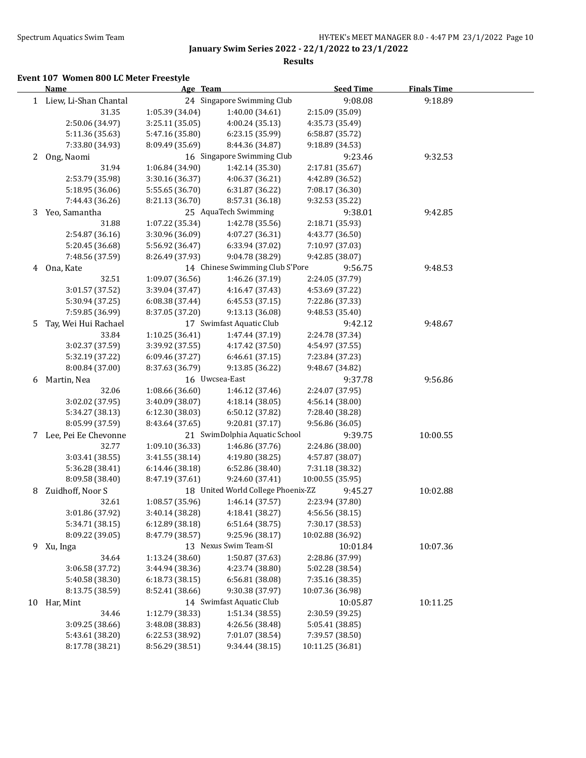**Results**

## **Event 107 Women 800 LC Meter Freestyle**

|    | Name                    | Age Team        |                                    | <b>Seed Time</b> | <b>Finals Time</b> |  |
|----|-------------------------|-----------------|------------------------------------|------------------|--------------------|--|
|    | 1 Liew, Li-Shan Chantal |                 | 24 Singapore Swimming Club         | 9:08.08          | 9:18.89            |  |
|    | 31.35                   | 1:05.39 (34.04) | 1:40.00 (34.61)                    | 2:15.09 (35.09)  |                    |  |
|    | 2:50.06 (34.97)         | 3:25.11 (35.05) | 4:00.24 (35.13)                    | 4:35.73 (35.49)  |                    |  |
|    | 5:11.36 (35.63)         | 5:47.16 (35.80) | 6:23.15 (35.99)                    | 6:58.87 (35.72)  |                    |  |
|    | 7:33.80 (34.93)         | 8:09.49 (35.69) | 8:44.36 (34.87)                    | 9:18.89 (34.53)  |                    |  |
| 2  | Ong, Naomi              |                 | 16 Singapore Swimming Club         | 9:23.46          | 9:32.53            |  |
|    | 31.94                   | 1:06.84 (34.90) | 1:42.14 (35.30)                    | 2:17.81 (35.67)  |                    |  |
|    | 2:53.79 (35.98)         | 3:30.16 (36.37) | 4:06.37 (36.21)                    | 4:42.89 (36.52)  |                    |  |
|    | 5:18.95 (36.06)         | 5:55.65 (36.70) | 6:31.87 (36.22)                    | 7:08.17 (36.30)  |                    |  |
|    | 7:44.43 (36.26)         | 8:21.13 (36.70) | 8:57.31 (36.18)                    | 9:32.53 (35.22)  |                    |  |
| 3  | Yeo, Samantha           |                 | 25 AquaTech Swimming               | 9:38.01          | 9:42.85            |  |
|    | 31.88                   | 1:07.22 (35.34) | 1:42.78 (35.56)                    | 2:18.71 (35.93)  |                    |  |
|    | 2:54.87 (36.16)         | 3:30.96 (36.09) | 4:07.27 (36.31)                    | 4:43.77 (36.50)  |                    |  |
|    | 5:20.45 (36.68)         | 5:56.92 (36.47) | 6:33.94 (37.02)                    | 7:10.97 (37.03)  |                    |  |
|    | 7:48.56 (37.59)         | 8:26.49 (37.93) | 9:04.78 (38.29)                    | 9:42.85 (38.07)  |                    |  |
|    | 4 Ona, Kate             |                 | 14 Chinese Swimming Club S'Pore    | 9:56.75          | 9:48.53            |  |
|    | 32.51                   | 1:09.07 (36.56) | 1:46.26 (37.19)                    | 2:24.05 (37.79)  |                    |  |
|    | 3:01.57 (37.52)         | 3:39.04 (37.47) | 4:16.47 (37.43)                    | 4:53.69 (37.22)  |                    |  |
|    | 5:30.94 (37.25)         | 6:08.38(37.44)  | 6:45.53 (37.15)                    | 7:22.86 (37.33)  |                    |  |
|    | 7:59.85 (36.99)         | 8:37.05 (37.20) | 9:13.13 (36.08)                    | 9:48.53 (35.40)  |                    |  |
| 5. | Tay, Wei Hui Rachael    |                 | 17 Swimfast Aquatic Club           | 9:42.12          | 9:48.67            |  |
|    | 33.84                   | 1:10.25 (36.41) | 1:47.44 (37.19)                    | 2:24.78 (37.34)  |                    |  |
|    | 3:02.37 (37.59)         | 3:39.92 (37.55) | 4:17.42 (37.50)                    | 4:54.97 (37.55)  |                    |  |
|    | 5:32.19 (37.22)         | 6:09.46 (37.27) | 6:46.61 (37.15)                    | 7:23.84 (37.23)  |                    |  |
|    | 8:00.84 (37.00)         | 8:37.63 (36.79) | 9:13.85 (36.22)                    | 9:48.67 (34.82)  |                    |  |
| 6  | Martin, Nea             |                 | 16 Uwcsea-East                     | 9:37.78          | 9:56.86            |  |
|    | 32.06                   | 1:08.66 (36.60) | 1:46.12 (37.46)                    | 2:24.07 (37.95)  |                    |  |
|    | 3:02.02 (37.95)         | 3:40.09 (38.07) | 4:18.14 (38.05)                    | 4:56.14 (38.00)  |                    |  |
|    | 5:34.27 (38.13)         | 6:12.30 (38.03) | 6:50.12 (37.82)                    | 7:28.40 (38.28)  |                    |  |
|    | 8:05.99 (37.59)         | 8:43.64 (37.65) | 9:20.81 (37.17)                    | 9:56.86 (36.05)  |                    |  |
|    | 7 Lee, Pei Ee Chevonne  |                 | 21 SwimDolphia Aquatic School      | 9:39.75          | 10:00.55           |  |
|    | 32.77                   | 1:09.10 (36.33) | 1:46.86 (37.76)                    | 2:24.86 (38.00)  |                    |  |
|    | 3:03.41 (38.55)         | 3:41.55 (38.14) | 4:19.80 (38.25)                    | 4:57.87 (38.07)  |                    |  |
|    | 5:36.28 (38.41)         | 6:14.46 (38.18) | 6:52.86 (38.40)                    | 7:31.18 (38.32)  |                    |  |
|    | 8:09.58 (38.40)         | 8:47.19 (37.61) | 9:24.60 (37.41)                    | 10:00.55 (35.95) |                    |  |
| 8  | Zuidhoff, Noor S        |                 | 18 United World College Phoenix-ZZ | 9:45.27          | 10:02.88           |  |
|    | 32.61                   | 1:08.57 (35.96) | 1:46.14(37.57)                     | 2:23.94 (37.80)  |                    |  |
|    | 3:01.86 (37.92)         | 3:40.14 (38.28) | 4:18.41 (38.27)                    | 4:56.56 (38.15)  |                    |  |
|    | 5:34.71 (38.15)         | 6:12.89(38.18)  | 6:51.64 (38.75)                    | 7:30.17 (38.53)  |                    |  |
|    | 8:09.22 (39.05)         | 8:47.79 (38.57) | 9:25.96 (38.17)                    | 10:02.88 (36.92) |                    |  |
| 9. | Xu, Inga                |                 | 13 Nexus Swim Team-SI              | 10:01.84         | 10:07.36           |  |
|    | 34.64                   | 1:13.24 (38.60) | 1:50.87 (37.63)                    | 2:28.86 (37.99)  |                    |  |
|    | 3:06.58 (37.72)         | 3:44.94 (38.36) | 4:23.74 (38.80)                    | 5:02.28 (38.54)  |                    |  |
|    | 5:40.58 (38.30)         | 6:18.73 (38.15) | 6:56.81 (38.08)                    | 7:35.16 (38.35)  |                    |  |
|    | 8:13.75 (38.59)         | 8:52.41 (38.66) | 9:30.38 (37.97)                    | 10:07.36 (36.98) |                    |  |
| 10 | Har, Mint               |                 | 14 Swimfast Aquatic Club           | 10:05.87         | 10:11.25           |  |
|    | 34.46                   | 1:12.79 (38.33) | 1:51.34 (38.55)                    | 2:30.59 (39.25)  |                    |  |
|    | 3:09.25 (38.66)         | 3:48.08 (38.83) | 4:26.56 (38.48)                    | 5:05.41 (38.85)  |                    |  |
|    | 5:43.61 (38.20)         | 6:22.53 (38.92) | 7:01.07 (38.54)                    | 7:39.57 (38.50)  |                    |  |
|    | 8:17.78 (38.21)         | 8:56.29 (38.51) | 9:34.44 (38.15)                    | 10:11.25 (36.81) |                    |  |
|    |                         |                 |                                    |                  |                    |  |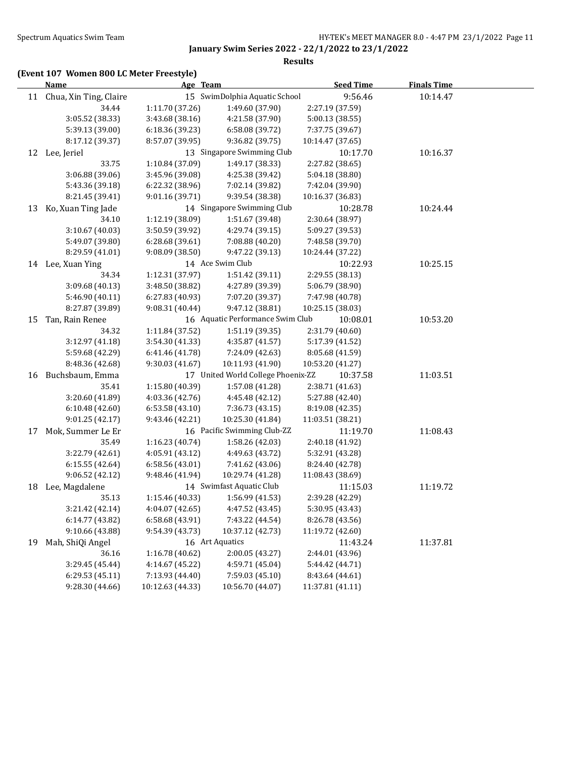#### **Results**

## **(Event 107 Women 800 LC Meter Freestyle)**

|    | <b>Name</b>               | Age Team         |                                    | <b>Seed Time</b> | <b>Finals Time</b> |  |
|----|---------------------------|------------------|------------------------------------|------------------|--------------------|--|
|    | 11 Chua, Xin Ting, Claire |                  | 15 SwimDolphia Aquatic School      | 9:56.46          | 10:14.47           |  |
|    | 34.44                     | 1:11.70 (37.26)  | 1:49.60 (37.90)                    | 2:27.19 (37.59)  |                    |  |
|    | 3:05.52 (38.33)           | 3:43.68 (38.16)  | 4:21.58 (37.90)                    | 5:00.13 (38.55)  |                    |  |
|    | 5:39.13 (39.00)           | 6:18.36 (39.23)  | 6:58.08 (39.72)                    | 7:37.75 (39.67)  |                    |  |
|    | 8:17.12 (39.37)           | 8:57.07 (39.95)  | 9:36.82 (39.75)                    | 10:14.47 (37.65) |                    |  |
|    | 12 Lee, Jeriel            |                  | 13 Singapore Swimming Club         | 10:17.70         | 10:16.37           |  |
|    | 33.75                     | 1:10.84 (37.09)  | 1:49.17 (38.33)                    | 2:27.82 (38.65)  |                    |  |
|    | 3:06.88 (39.06)           | 3:45.96 (39.08)  | 4:25.38 (39.42)                    | 5:04.18 (38.80)  |                    |  |
|    | 5:43.36 (39.18)           | 6:22.32 (38.96)  | 7:02.14 (39.82)                    | 7:42.04 (39.90)  |                    |  |
|    | 8:21.45 (39.41)           | 9:01.16 (39.71)  | 9:39.54 (38.38)                    | 10:16.37 (36.83) |                    |  |
| 13 | Ko, Xuan Ting Jade        |                  | 14 Singapore Swimming Club         | 10:28.78         | 10:24.44           |  |
|    | 34.10                     | 1:12.19 (38.09)  | 1:51.67 (39.48)                    | 2:30.64 (38.97)  |                    |  |
|    | 3:10.67 (40.03)           | 3:50.59 (39.92)  | 4:29.74 (39.15)                    | 5:09.27 (39.53)  |                    |  |
|    | 5:49.07 (39.80)           | 6:28.68 (39.61)  | 7:08.88 (40.20)                    | 7:48.58 (39.70)  |                    |  |
|    | 8:29.59 (41.01)           | 9:08.09(38.50)   | 9:47.22 (39.13)                    | 10:24.44 (37.22) |                    |  |
|    | 14 Lee, Xuan Ying         |                  | 14 Ace Swim Club                   | 10:22.93         | 10:25.15           |  |
|    | 34.34                     | 1:12.31 (37.97)  | 1:51.42 (39.11)                    | 2:29.55 (38.13)  |                    |  |
|    | 3:09.68 (40.13)           | 3:48.50 (38.82)  | 4:27.89 (39.39)                    | 5:06.79 (38.90)  |                    |  |
|    | 5:46.90 (40.11)           | 6:27.83 (40.93)  | 7:07.20 (39.37)                    | 7:47.98 (40.78)  |                    |  |
|    | 8:27.87 (39.89)           | 9:08.31 (40.44)  | 9:47.12 (38.81)                    | 10:25.15 (38.03) |                    |  |
| 15 | Tan, Rain Renee           |                  | 16 Aquatic Performance Swim Club   | 10:08.01         | 10:53.20           |  |
|    | 34.32                     | 1:11.84 (37.52)  | 1:51.19(39.35)                     | 2:31.79 (40.60)  |                    |  |
|    | 3:12.97 (41.18)           | 3:54.30 (41.33)  | 4:35.87 (41.57)                    | 5:17.39 (41.52)  |                    |  |
|    | 5:59.68 (42.29)           | 6:41.46 (41.78)  | 7:24.09 (42.63)                    | 8:05.68 (41.59)  |                    |  |
|    | 8:48.36 (42.68)           | 9:30.03 (41.67)  | 10:11.93 (41.90)                   | 10:53.20 (41.27) |                    |  |
| 16 | Buchsbaum, Emma           |                  | 17 United World College Phoenix-ZZ | 10:37.58         | 11:03.51           |  |
|    | 35.41                     | 1:15.80 (40.39)  | 1:57.08 (41.28)                    | 2:38.71 (41.63)  |                    |  |
|    | 3:20.60 (41.89)           | 4:03.36 (42.76)  | 4:45.48 (42.12)                    | 5:27.88 (42.40)  |                    |  |
|    | 6:10.48 (42.60)           | 6:53.58(43.10)   | 7:36.73 (43.15)                    | 8:19.08 (42.35)  |                    |  |
|    | 9:01.25 (42.17)           | 9:43.46 (42.21)  | 10:25.30 (41.84)                   | 11:03.51 (38.21) |                    |  |
| 17 | Mok, Summer Le Er         |                  | 16 Pacific Swimming Club-ZZ        | 11:19.70         | 11:08.43           |  |
|    | 35.49                     | 1:16.23 (40.74)  | 1:58.26 (42.03)                    | 2:40.18 (41.92)  |                    |  |
|    | 3:22.79 (42.61)           | 4:05.91 (43.12)  | 4:49.63 (43.72)                    | 5:32.91 (43.28)  |                    |  |
|    | 6:15.55 (42.64)           | 6:58.56 (43.01)  | 7:41.62 (43.06)                    | 8:24.40 (42.78)  |                    |  |
|    | 9:06.52 (42.12)           | 9:48.46 (41.94)  | 10:29.74 (41.28)                   | 11:08.43 (38.69) |                    |  |
| 18 | Lee, Magdalene            |                  | 14 Swimfast Aquatic Club           | 11:15.03         | 11:19.72           |  |
|    | 35.13                     | 1:15.46 (40.33)  | 1:56.99 (41.53)                    | 2:39.28 (42.29)  |                    |  |
|    | 3:21.42 (42.14)           | 4:04.07 (42.65)  | 4:47.52 (43.45)                    | 5:30.95 (43.43)  |                    |  |
|    | 6:14.77 (43.82)           | 6:58.68 (43.91)  | 7:43.22 (44.54)                    | 8:26.78 (43.56)  |                    |  |
|    | 9:10.66 (43.88)           | 9:54.39 (43.73)  | 10:37.12 (42.73)                   | 11:19.72 (42.60) |                    |  |
| 19 | Mah, ShiQi Angel          |                  | 16 Art Aquatics                    | 11:43.24         | 11:37.81           |  |
|    | 36.16                     | 1:16.78 (40.62)  | 2:00.05 (43.27)                    | 2:44.01 (43.96)  |                    |  |
|    | 3:29.45 (45.44)           | 4:14.67 (45.22)  | 4:59.71 (45.04)                    | 5:44.42 (44.71)  |                    |  |
|    | 6:29.53 (45.11)           | 7:13.93 (44.40)  | 7:59.03 (45.10)                    | 8:43.64 (44.61)  |                    |  |
|    | 9:28.30 (44.66)           | 10:12.63 (44.33) | 10:56.70 (44.07)                   | 11:37.81 (41.11) |                    |  |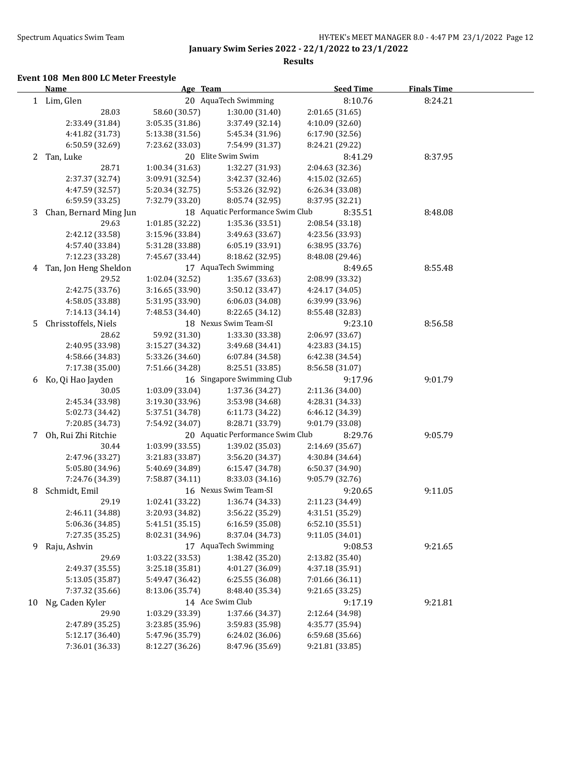**Results**

#### **Event 108 Men 800 LC Meter Freestyle**

|    | <b>Name</b>            | Age Team        |                                  | <b>Seed Time</b> | <b>Finals Time</b> |  |
|----|------------------------|-----------------|----------------------------------|------------------|--------------------|--|
|    | 1 Lim, Glen            |                 | 20 AquaTech Swimming             | 8:10.76          | 8:24.21            |  |
|    | 28.03                  | 58.60 (30.57)   | 1:30.00 (31.40)                  | 2:01.65 (31.65)  |                    |  |
|    | 2:33.49 (31.84)        | 3:05.35 (31.86) | 3:37.49 (32.14)                  | 4:10.09 (32.60)  |                    |  |
|    | 4:41.82 (31.73)        | 5:13.38 (31.56) | 5:45.34 (31.96)                  | 6:17.90 (32.56)  |                    |  |
|    | 6:50.59 (32.69)        | 7:23.62 (33.03) | 7:54.99 (31.37)                  | 8:24.21 (29.22)  |                    |  |
| 2  | Tan, Luke              |                 | 20 Elite Swim Swim               | 8:41.29          | 8:37.95            |  |
|    | 28.71                  | 1:00.34 (31.63) | 1:32.27 (31.93)                  | 2:04.63 (32.36)  |                    |  |
|    | 2:37.37 (32.74)        | 3:09.91 (32.54) | 3:42.37 (32.46)                  | 4:15.02 (32.65)  |                    |  |
|    | 4:47.59 (32.57)        | 5:20.34 (32.75) | 5:53.26 (32.92)                  | 6:26.34 (33.08)  |                    |  |
|    | 6:59.59 (33.25)        | 7:32.79 (33.20) | 8:05.74 (32.95)                  | 8:37.95 (32.21)  |                    |  |
| 3  | Chan, Bernard Ming Jun |                 | 18 Aquatic Performance Swim Club | 8:35.51          | 8:48.08            |  |
|    | 29.63                  | 1:01.85 (32.22) | 1:35.36 (33.51)                  | 2:08.54 (33.18)  |                    |  |
|    | 2:42.12 (33.58)        | 3:15.96 (33.84) | 3:49.63 (33.67)                  | 4:23.56 (33.93)  |                    |  |
|    | 4:57.40 (33.84)        | 5:31.28 (33.88) | 6:05.19(33.91)                   | 6:38.95 (33.76)  |                    |  |
|    | 7:12.23 (33.28)        | 7:45.67 (33.44) | 8:18.62 (32.95)                  | 8:48.08 (29.46)  |                    |  |
| 4  | Tan, Jon Heng Sheldon  |                 | 17 AquaTech Swimming             | 8:49.65          | 8:55.48            |  |
|    | 29.52                  | 1:02.04 (32.52) | 1:35.67(33.63)                   | 2:08.99 (33.32)  |                    |  |
|    | 2:42.75 (33.76)        | 3:16.65 (33.90) | 3:50.12 (33.47)                  | 4:24.17 (34.05)  |                    |  |
|    | 4:58.05 (33.88)        | 5:31.95 (33.90) | 6:06.03(34.08)                   | 6:39.99 (33.96)  |                    |  |
|    | 7:14.13 (34.14)        | 7:48.53 (34.40) | 8:22.65 (34.12)                  | 8:55.48 (32.83)  |                    |  |
| 5  | Chrisstoffels, Niels   |                 | 18 Nexus Swim Team-SI            | 9:23.10          | 8:56.58            |  |
|    | 28.62                  | 59.92 (31.30)   | 1:33.30 (33.38)                  | 2:06.97 (33.67)  |                    |  |
|    | 2:40.95 (33.98)        | 3:15.27 (34.32) | 3:49.68 (34.41)                  | 4:23.83 (34.15)  |                    |  |
|    | 4:58.66 (34.83)        | 5:33.26 (34.60) | 6:07.84 (34.58)                  | 6:42.38 (34.54)  |                    |  |
|    | 7:17.38 (35.00)        | 7:51.66 (34.28) | 8:25.51 (33.85)                  | 8:56.58 (31.07)  |                    |  |
| 6  | Ko, Qi Hao Jayden      |                 | 16 Singapore Swimming Club       | 9:17.96          | 9:01.79            |  |
|    | 30.05                  | 1:03.09 (33.04) | 1:37.36 (34.27)                  | 2:11.36 (34.00)  |                    |  |
|    | 2:45.34 (33.98)        | 3:19.30 (33.96) | 3:53.98 (34.68)                  | 4:28.31 (34.33)  |                    |  |
|    | 5:02.73 (34.42)        | 5:37.51 (34.78) | 6:11.73 (34.22)                  | 6:46.12 (34.39)  |                    |  |
|    | 7:20.85 (34.73)        | 7:54.92 (34.07) | 8:28.71 (33.79)                  | 9:01.79 (33.08)  |                    |  |
| 7  | Oh, Rui Zhi Ritchie    |                 | 20 Aquatic Performance Swim Club | 8:29.76          | 9:05.79            |  |
|    | 30.44                  | 1:03.99 (33.55) | 1:39.02 (35.03)                  | 2:14.69 (35.67)  |                    |  |
|    | 2:47.96 (33.27)        | 3:21.83 (33.87) | 3:56.20 (34.37)                  | 4:30.84 (34.64)  |                    |  |
|    | 5:05.80 (34.96)        | 5:40.69 (34.89) | 6:15.47 (34.78)                  | 6:50.37 (34.90)  |                    |  |
|    | 7:24.76 (34.39)        | 7:58.87 (34.11) | 8:33.03 (34.16)                  | 9:05.79 (32.76)  |                    |  |
| 8  | Schmidt, Emil          |                 | 16 Nexus Swim Team-SI            | 9:20.65          | 9:11.05            |  |
|    | 29.19                  | 1:02.41 (33.22) | 1:36.74 (34.33)                  | 2:11.23 (34.49)  |                    |  |
|    | 2:46.11 (34.88)        | 3:20.93 (34.82) | 3:56.22 (35.29)                  | 4:31.51 (35.29)  |                    |  |
|    | 5:06.36 (34.85)        | 5:41.51 (35.15) | 6:16.59 (35.08)                  | 6:52.10 (35.51)  |                    |  |
|    | 7:27.35 (35.25)        | 8:02.31 (34.96) | 8:37.04 (34.73)                  | 9:11.05 (34.01)  |                    |  |
| 9  | Raju, Ashvin           |                 | 17 AquaTech Swimming             | 9:08.53          | 9:21.65            |  |
|    | 29.69                  | 1:03.22 (33.53) | 1:38.42 (35.20)                  | 2:13.82 (35.40)  |                    |  |
|    | 2:49.37 (35.55)        | 3:25.18 (35.81) | 4:01.27 (36.09)                  | 4:37.18 (35.91)  |                    |  |
|    | 5:13.05 (35.87)        | 5:49.47 (36.42) | 6:25.55 (36.08)                  | 7:01.66 (36.11)  |                    |  |
|    | 7:37.32 (35.66)        | 8:13.06 (35.74) | 8:48.40 (35.34)                  | 9:21.65 (33.25)  |                    |  |
| 10 | Ng, Caden Kyler        |                 | 14 Ace Swim Club                 | 9:17.19          | 9:21.81            |  |
|    | 29.90                  | 1:03.29 (33.39) | 1:37.66 (34.37)                  | 2:12.64 (34.98)  |                    |  |
|    | 2:47.89 (35.25)        | 3:23.85 (35.96) | 3:59.83 (35.98)                  | 4:35.77 (35.94)  |                    |  |
|    | 5:12.17 (36.40)        | 5:47.96 (35.79) | 6:24.02(36.06)                   | 6:59.68 (35.66)  |                    |  |
|    | 7:36.01 (36.33)        | 8:12.27 (36.26) | 8:47.96 (35.69)                  | 9:21.81 (33.85)  |                    |  |
|    |                        |                 |                                  |                  |                    |  |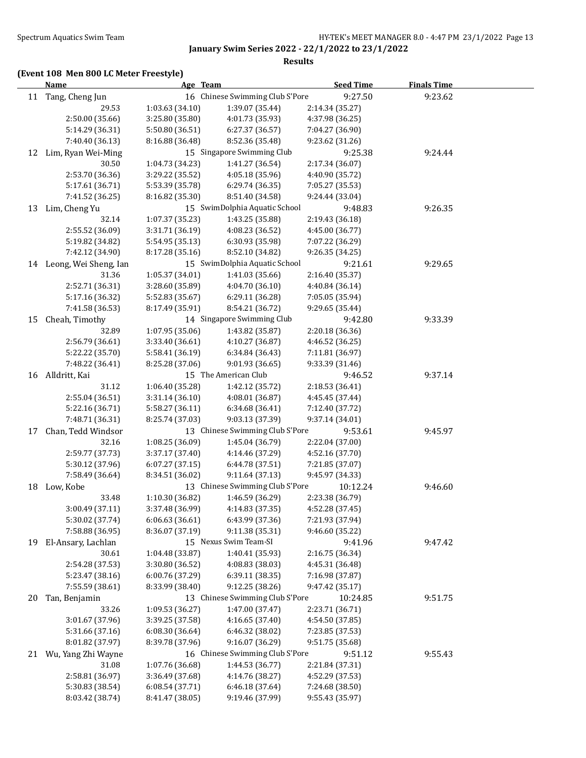**Results**

## **(Event 108 Men 800 LC Meter Freestyle)**

|    | Name                     | Age Team        |                                 | <b>Seed Time</b> | <b>Finals Time</b> |  |
|----|--------------------------|-----------------|---------------------------------|------------------|--------------------|--|
|    | 11 Tang, Cheng Jun       |                 | 16 Chinese Swimming Club S'Pore | 9:27.50          | 9:23.62            |  |
|    | 29.53                    | 1:03.63 (34.10) | 1:39.07 (35.44)                 | 2:14.34 (35.27)  |                    |  |
|    | 2:50.00 (35.66)          | 3:25.80 (35.80) | 4:01.73 (35.93)                 | 4:37.98 (36.25)  |                    |  |
|    | 5:14.29 (36.31)          | 5:50.80 (36.51) | 6:27.37 (36.57)                 | 7:04.27 (36.90)  |                    |  |
|    | 7:40.40 (36.13)          | 8:16.88 (36.48) | 8:52.36 (35.48)                 | 9:23.62 (31.26)  |                    |  |
| 12 | Lim, Ryan Wei-Ming       |                 | 15 Singapore Swimming Club      | 9:25.38          | 9:24.44            |  |
|    | 30.50                    | 1:04.73 (34.23) | 1:41.27 (36.54)                 | 2:17.34 (36.07)  |                    |  |
|    | 2:53.70 (36.36)          | 3:29.22 (35.52) | 4:05.18 (35.96)                 | 4:40.90 (35.72)  |                    |  |
|    | 5:17.61 (36.71)          | 5:53.39 (35.78) | 6:29.74 (36.35)                 | 7:05.27 (35.53)  |                    |  |
|    | 7:41.52 (36.25)          | 8:16.82 (35.30) | 8:51.40 (34.58)                 | 9:24.44 (33.04)  |                    |  |
| 13 | Lim, Cheng Yu            |                 | 15 SwimDolphia Aquatic School   | 9:48.83          | 9:26.35            |  |
|    | 32.14                    | 1:07.37 (35.23) | 1:43.25 (35.88)                 | 2:19.43 (36.18)  |                    |  |
|    | 2:55.52 (36.09)          | 3:31.71 (36.19) | 4:08.23 (36.52)                 | 4:45.00 (36.77)  |                    |  |
|    | 5:19.82 (34.82)          | 5:54.95 (35.13) | 6:30.93 (35.98)                 | 7:07.22 (36.29)  |                    |  |
|    | 7:42.12 (34.90)          | 8:17.28 (35.16) | 8:52.10 (34.82)                 | 9:26.35 (34.25)  |                    |  |
|    | 14 Leong, Wei Sheng, Ian |                 | 15 SwimDolphia Aquatic School   | 9:21.61          | 9:29.65            |  |
|    | 31.36                    | 1:05.37 (34.01) | 1:41.03 (35.66)                 | 2:16.40 (35.37)  |                    |  |
|    | 2:52.71 (36.31)          | 3:28.60 (35.89) | 4:04.70 (36.10)                 | 4:40.84 (36.14)  |                    |  |
|    | 5:17.16 (36.32)          | 5:52.83 (35.67) | 6:29.11 (36.28)                 | 7:05.05 (35.94)  |                    |  |
|    | 7:41.58 (36.53)          | 8:17.49 (35.91) | 8:54.21 (36.72)                 | 9:29.65 (35.44)  |                    |  |
| 15 | Cheah, Timothy           |                 | 14 Singapore Swimming Club      | 9:42.80          | 9:33.39            |  |
|    | 32.89                    | 1:07.95 (35.06) | 1:43.82 (35.87)                 | 2:20.18 (36.36)  |                    |  |
|    | 2:56.79 (36.61)          | 3:33.40 (36.61) | 4:10.27 (36.87)                 | 4:46.52 (36.25)  |                    |  |
|    | 5:22.22 (35.70)          | 5:58.41 (36.19) | 6:34.84 (36.43)                 | 7:11.81 (36.97)  |                    |  |
|    | 7:48.22 (36.41)          | 8:25.28 (37.06) | 9:01.93 (36.65)                 | 9:33.39 (31.46)  |                    |  |
|    | 16 Alldritt, Kai         |                 | 15 The American Club            | 9:46.52          | 9:37.14            |  |
|    | 31.12                    | 1:06.40 (35.28) | 1:42.12 (35.72)                 | 2:18.53 (36.41)  |                    |  |
|    | 2:55.04 (36.51)          | 3:31.14 (36.10) | 4:08.01 (36.87)                 | 4:45.45 (37.44)  |                    |  |
|    | 5:22.16 (36.71)          | 5:58.27 (36.11) | 6:34.68 (36.41)                 | 7:12.40 (37.72)  |                    |  |
|    | 7:48.71 (36.31)          | 8:25.74 (37.03) | 9:03.13 (37.39)                 | 9:37.14 (34.01)  |                    |  |
| 17 | Chan, Tedd Windsor       |                 | 13 Chinese Swimming Club S'Pore | 9:53.61          | 9:45.97            |  |
|    | 32.16                    | 1:08.25 (36.09) | 1:45.04 (36.79)                 | 2:22.04 (37.00)  |                    |  |
|    | 2:59.77 (37.73)          | 3:37.17 (37.40) | 4:14.46 (37.29)                 | 4:52.16 (37.70)  |                    |  |
|    | 5:30.12 (37.96)          | 6:07.27(37.15)  | 6:44.78 (37.51)                 | 7:21.85 (37.07)  |                    |  |
|    | 7:58.49 (36.64)          | 8:34.51 (36.02) | 9:11.64 (37.13)                 | 9:45.97 (34.33)  |                    |  |
|    | 18 Low, Kobe             |                 | 13 Chinese Swimming Club S'Pore | 10:12.24         | 9:46.60            |  |
|    | 33.48                    | 1:10.30 (36.82) | 1:46.59 (36.29)                 | 2:23.38 (36.79)  |                    |  |
|    | 3:00.49 (37.11)          | 3:37.48 (36.99) | 4:14.83 (37.35)                 | 4:52.28 (37.45)  |                    |  |
|    | 5:30.02 (37.74)          | 6:06.63(36.61)  | 6:43.99 (37.36)                 | 7:21.93 (37.94)  |                    |  |
|    | 7:58.88 (36.95)          | 8:36.07 (37.19) | 9:11.38 (35.31)                 | 9:46.60 (35.22)  |                    |  |
|    | 19 El-Ansary, Lachlan    |                 | 15 Nexus Swim Team-SI           | 9:41.96          | 9:47.42            |  |
|    | 30.61                    | 1:04.48 (33.87) | 1:40.41 (35.93)                 | 2:16.75 (36.34)  |                    |  |
|    | 2:54.28 (37.53)          | 3:30.80 (36.52) | 4:08.83 (38.03)                 | 4:45.31 (36.48)  |                    |  |
|    | 5:23.47 (38.16)          | 6:00.76 (37.29) | 6:39.11 (38.35)                 | 7:16.98 (37.87)  |                    |  |
|    | 7:55.59 (38.61)          | 8:33.99 (38.40) | 9:12.25 (38.26)                 | 9:47.42 (35.17)  |                    |  |
| 20 | Tan, Benjamin            |                 | 13 Chinese Swimming Club S'Pore | 10:24.85         | 9:51.75            |  |
|    | 33.26                    | 1:09.53 (36.27) | 1:47.00 (37.47)                 | 2:23.71 (36.71)  |                    |  |
|    | 3:01.67 (37.96)          | 3:39.25 (37.58) | 4:16.65 (37.40)                 | 4:54.50 (37.85)  |                    |  |
|    | 5:31.66 (37.16)          | 6:08.30 (36.64) | 6:46.32 (38.02)                 | 7:23.85 (37.53)  |                    |  |
|    | 8:01.82 (37.97)          | 8:39.78 (37.96) | 9:16.07 (36.29)                 | 9:51.75 (35.68)  |                    |  |
|    | 21 Wu, Yang Zhi Wayne    |                 | 16 Chinese Swimming Club S'Pore | 9:51.12          | 9:55.43            |  |
|    | 31.08                    | 1:07.76 (36.68) | 1:44.53 (36.77)                 | 2:21.84 (37.31)  |                    |  |
|    | 2:58.81 (36.97)          | 3:36.49 (37.68) | 4:14.76 (38.27)                 | 4:52.29 (37.53)  |                    |  |
|    | 5:30.83 (38.54)          | 6:08.54 (37.71) | 6:46.18 (37.64)                 | 7:24.68 (38.50)  |                    |  |
|    | 8:03.42 (38.74)          | 8:41.47 (38.05) | 9:19.46 (37.99)                 | 9:55.43 (35.97)  |                    |  |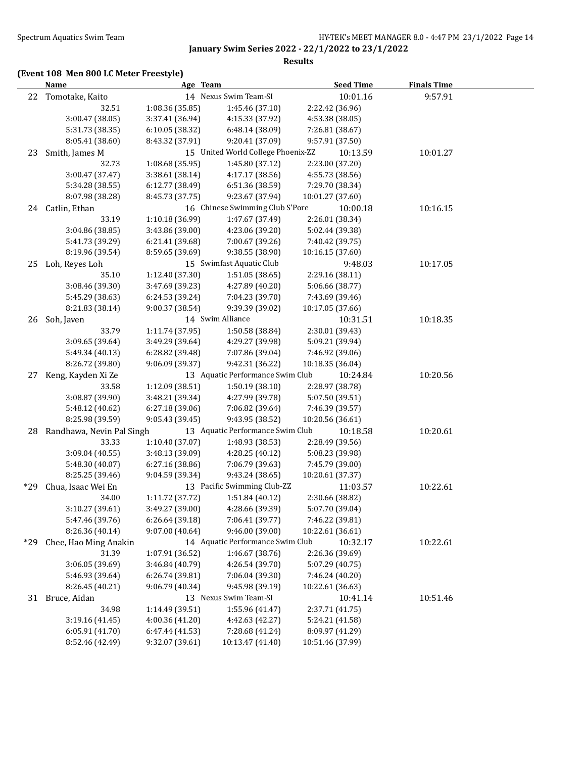#### **Results**

## **(Event 108 Men 800 LC Meter Freestyle)**

|     | <b>Name</b>                  | Age Team        |                                    | <b>Seed Time</b> | <b>Finals Time</b> |  |
|-----|------------------------------|-----------------|------------------------------------|------------------|--------------------|--|
|     | 22 Tomotake, Kaito           |                 | 14 Nexus Swim Team-SI              | 10:01.16         | 9:57.91            |  |
|     | 32.51                        | 1:08.36 (35.85) | 1:45.46 (37.10)                    | 2:22.42 (36.96)  |                    |  |
|     | 3:00.47 (38.05)              | 3:37.41 (36.94) | 4:15.33 (37.92)                    | 4:53.38 (38.05)  |                    |  |
|     | 5:31.73 (38.35)              | 6:10.05 (38.32) | 6:48.14 (38.09)                    | 7:26.81 (38.67)  |                    |  |
|     | 8:05.41 (38.60)              | 8:43.32 (37.91) | 9:20.41 (37.09)                    | 9:57.91 (37.50)  |                    |  |
| 23  | Smith, James M               |                 | 15 United World College Phoenix-ZZ | 10:13.59         | 10:01.27           |  |
|     | 32.73                        | 1:08.68 (35.95) | 1:45.80 (37.12)                    | 2:23.00 (37.20)  |                    |  |
|     | 3:00.47 (37.47)              | 3:38.61 (38.14) | 4:17.17 (38.56)                    | 4:55.73 (38.56)  |                    |  |
|     | 5:34.28 (38.55)              | 6:12.77 (38.49) | 6:51.36 (38.59)                    | 7:29.70 (38.34)  |                    |  |
|     | 8:07.98 (38.28)              | 8:45.73 (37.75) | 9:23.67 (37.94)                    | 10:01.27 (37.60) |                    |  |
|     | 24 Catlin, Ethan             |                 | 16 Chinese Swimming Club S'Pore    | 10:00.18         | 10:16.15           |  |
|     | 33.19                        | 1:10.18 (36.99) | 1:47.67 (37.49)                    | 2:26.01 (38.34)  |                    |  |
|     | 3:04.86 (38.85)              | 3:43.86 (39.00) | 4:23.06 (39.20)                    | 5:02.44 (39.38)  |                    |  |
|     | 5:41.73 (39.29)              | 6:21.41 (39.68) | 7:00.67 (39.26)                    | 7:40.42 (39.75)  |                    |  |
|     | 8:19.96 (39.54)              | 8:59.65 (39.69) | 9:38.55 (38.90)                    | 10:16.15 (37.60) |                    |  |
| 25  | Loh, Reyes Loh               |                 | 15 Swimfast Aquatic Club           | 9:48.03          | 10:17.05           |  |
|     | 35.10                        | 1:12.40 (37.30) | 1:51.05(38.65)                     | 2:29.16 (38.11)  |                    |  |
|     | 3:08.46 (39.30)              | 3:47.69 (39.23) | 4:27.89 (40.20)                    | 5:06.66 (38.77)  |                    |  |
|     | 5:45.29 (38.63)              | 6:24.53 (39.24) | 7:04.23 (39.70)                    | 7:43.69 (39.46)  |                    |  |
|     | 8:21.83 (38.14)              | 9:00.37 (38.54) | 9:39.39 (39.02)                    | 10:17.05 (37.66) |                    |  |
| 26  | Soh, Javen                   |                 | 14 Swim Alliance                   | 10:31.51         | 10:18.35           |  |
|     | 33.79                        | 1:11.74 (37.95) | 1:50.58 (38.84)                    | 2:30.01 (39.43)  |                    |  |
|     | 3:09.65 (39.64)              | 3:49.29 (39.64) | 4:29.27 (39.98)                    | 5:09.21 (39.94)  |                    |  |
|     | 5:49.34 (40.13)              | 6:28.82 (39.48) | 7:07.86 (39.04)                    | 7:46.92 (39.06)  |                    |  |
|     | 8:26.72 (39.80)              | 9:06.09 (39.37) | 9:42.31 (36.22)                    | 10:18.35 (36.04) |                    |  |
| 27  | Keng, Kayden Xi Ze           |                 | 13 Aquatic Performance Swim Club   | 10:24.84         | 10:20.56           |  |
|     | 33.58                        | 1:12.09 (38.51) | 1:50.19 (38.10)                    | 2:28.97 (38.78)  |                    |  |
|     | 3:08.87 (39.90)              | 3:48.21 (39.34) | 4:27.99 (39.78)                    | 5:07.50 (39.51)  |                    |  |
|     | 5:48.12 (40.62)              | 6:27.18 (39.06) | 7:06.82 (39.64)                    | 7:46.39 (39.57)  |                    |  |
|     | 8:25.98 (39.59)              | 9:05.43 (39.45) | 9:43.95 (38.52)                    | 10:20.56 (36.61) |                    |  |
|     | 28 Randhawa, Nevin Pal Singh |                 | 13 Aquatic Performance Swim Club   | 10:18.58         | 10:20.61           |  |
|     | 33.33                        | 1:10.40 (37.07) | 1:48.93 (38.53)                    | 2:28.49 (39.56)  |                    |  |
|     | 3:09.04 (40.55)              | 3:48.13 (39.09) | 4:28.25 (40.12)                    | 5:08.23 (39.98)  |                    |  |
|     | 5:48.30 (40.07)              | 6:27.16(38.86)  | 7:06.79 (39.63)                    | 7:45.79 (39.00)  |                    |  |
|     | 8:25.25 (39.46)              | 9:04.59 (39.34) | 9:43.24 (38.65)                    | 10:20.61 (37.37) |                    |  |
| *29 | Chua, Isaac Wei En           |                 | 13 Pacific Swimming Club-ZZ        | 11:03.57         | 10:22.61           |  |
|     | 34.00                        | 1:11.72 (37.72) | 1:51.84 (40.12)                    | 2:30.66 (38.82)  |                    |  |
|     | 3:10.27 (39.61)              | 3:49.27 (39.00) | 4:28.66 (39.39)                    | 5:07.70 (39.04)  |                    |  |
|     | 5:47.46 (39.76)              | 6:26.64 (39.18) | 7:06.41 (39.77)                    | 7:46.22 (39.81)  |                    |  |
|     | 8:26.36 (40.14)              | 9:07.00 (40.64) | 9:46.00 (39.00)                    | 10:22.61 (36.61) |                    |  |
| *29 | Chee, Hao Ming Anakin        |                 | 14 Aquatic Performance Swim Club   | 10:32.17         | 10:22.61           |  |
|     | 31.39                        | 1:07.91 (36.52) | 1:46.67 (38.76)                    | 2:26.36 (39.69)  |                    |  |
|     | 3:06.05 (39.69)              | 3:46.84 (40.79) | 4:26.54 (39.70)                    | 5:07.29 (40.75)  |                    |  |
|     | 5:46.93 (39.64)              | 6:26.74 (39.81) | 7:06.04 (39.30)                    | 7:46.24 (40.20)  |                    |  |
|     | 8:26.45 (40.21)              | 9:06.79 (40.34) | 9:45.98 (39.19)                    | 10:22.61 (36.63) |                    |  |
| 31  | Bruce, Aidan                 |                 | 13 Nexus Swim Team-SI              | 10:41.14         | 10:51.46           |  |
|     | 34.98                        | 1:14.49 (39.51) | 1:55.96 (41.47)                    | 2:37.71 (41.75)  |                    |  |
|     | 3:19.16 (41.45)              | 4:00.36 (41.20) | 4:42.63 (42.27)                    | 5:24.21 (41.58)  |                    |  |
|     | 6:05.91 (41.70)              | 6:47.44 (41.53) | 7:28.68 (41.24)                    | 8:09.97 (41.29)  |                    |  |
|     | 8:52.46 (42.49)              | 9:32.07 (39.61) | 10:13.47 (41.40)                   | 10:51.46 (37.99) |                    |  |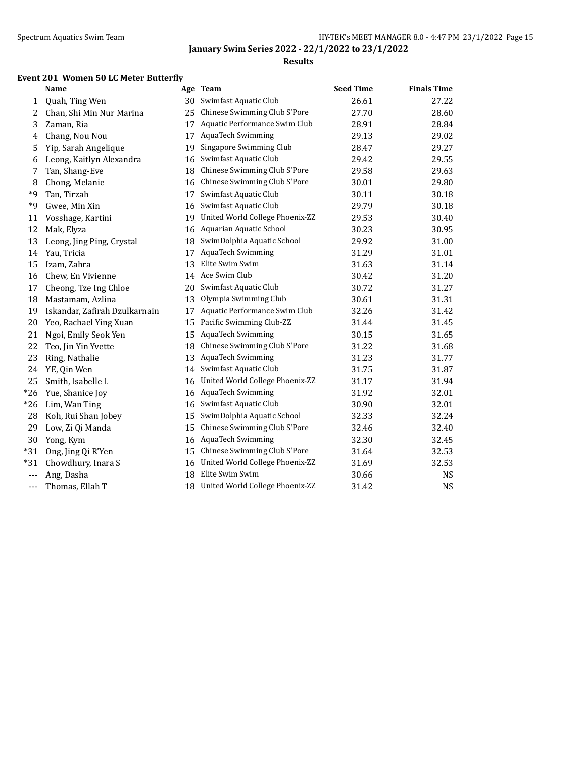### **Results**

# **Event 201 Women 50 LC Meter Butterfly**

|       | Name                          |    | Age Team                           | <b>Seed Time</b> | <b>Finals Time</b> |  |
|-------|-------------------------------|----|------------------------------------|------------------|--------------------|--|
| 1     | Quah, Ting Wen                | 30 | Swimfast Aquatic Club              | 26.61            | 27.22              |  |
| 2     | Chan, Shi Min Nur Marina      | 25 | Chinese Swimming Club S'Pore       | 27.70            | 28.60              |  |
| 3     | Zaman, Ria                    | 17 | Aquatic Performance Swim Club      | 28.91            | 28.84              |  |
| 4     | Chang, Nou Nou                | 17 | <b>AquaTech Swimming</b>           | 29.13            | 29.02              |  |
| 5     | Yip, Sarah Angelique          | 19 | Singapore Swimming Club            | 28.47            | 29.27              |  |
| 6     | Leong, Kaitlyn Alexandra      | 16 | Swimfast Aquatic Club              | 29.42            | 29.55              |  |
| 7     | Tan, Shang-Eve                | 18 | Chinese Swimming Club S'Pore       | 29.58            | 29.63              |  |
| 8     | Chong, Melanie                | 16 | Chinese Swimming Club S'Pore       | 30.01            | 29.80              |  |
| *9    | Tan, Tirzah                   | 17 | Swimfast Aquatic Club              | 30.11            | 30.18              |  |
| *9    | Gwee, Min Xin                 | 16 | Swimfast Aquatic Club              | 29.79            | 30.18              |  |
| 11    | Vosshage, Kartini             | 19 | United World College Phoenix-ZZ    | 29.53            | 30.40              |  |
| 12    | Mak, Elyza                    | 16 | Aquarian Aquatic School            | 30.23            | 30.95              |  |
| 13    | Leong, Jing Ping, Crystal     | 18 | SwimDolphia Aquatic School         | 29.92            | 31.00              |  |
| 14    | Yau, Tricia                   | 17 | <b>AquaTech Swimming</b>           | 31.29            | 31.01              |  |
| 15    | Izam, Zahra                   | 13 | Elite Swim Swim                    | 31.63            | 31.14              |  |
| 16    | Chew, En Vivienne             |    | 14 Ace Swim Club                   | 30.42            | 31.20              |  |
| 17    | Cheong, Tze Ing Chloe         | 20 | Swimfast Aquatic Club              | 30.72            | 31.27              |  |
| 18    | Mastamam, Azlina              | 13 | Olympia Swimming Club              | 30.61            | 31.31              |  |
| 19    | Iskandar, Zafirah Dzulkarnain | 17 | Aquatic Performance Swim Club      | 32.26            | 31.42              |  |
| 20    | Yeo, Rachael Ying Xuan        | 15 | Pacific Swimming Club-ZZ           | 31.44            | 31.45              |  |
| 21    | Ngoi, Emily Seok Yen          | 15 | AquaTech Swimming                  | 30.15            | 31.65              |  |
| 22    | Teo, Jin Yin Yvette           | 18 | Chinese Swimming Club S'Pore       | 31.22            | 31.68              |  |
| 23    | Ring, Nathalie                | 13 | AquaTech Swimming                  | 31.23            | 31.77              |  |
| 24    | YE, Qin Wen                   | 14 | Swimfast Aquatic Club              | 31.75            | 31.87              |  |
| 25    | Smith, Isabelle L             | 16 | United World College Phoenix-ZZ    | 31.17            | 31.94              |  |
| $*26$ | Yue, Shanice Joy              | 16 | AquaTech Swimming                  | 31.92            | 32.01              |  |
| $*26$ | Lim, Wan Ting                 | 16 | Swimfast Aquatic Club              | 30.90            | 32.01              |  |
| 28    | Koh, Rui Shan Jobey           | 15 | SwimDolphia Aquatic School         | 32.33            | 32.24              |  |
| 29    | Low, Zi Qi Manda              | 15 | Chinese Swimming Club S'Pore       | 32.46            | 32.40              |  |
| 30    | Yong, Kym                     |    | 16 AquaTech Swimming               | 32.30            | 32.45              |  |
| $*31$ | Ong, Jing Qi R'Yen            | 15 | Chinese Swimming Club S'Pore       | 31.64            | 32.53              |  |
| $*31$ | Chowdhury, Inara S            | 16 | United World College Phoenix-ZZ    | 31.69            | 32.53              |  |
| $---$ | Ang, Dasha                    |    | 18 Elite Swim Swim                 | 30.66            | NS                 |  |
| ---   | Thomas, Ellah T               |    | 18 United World College Phoenix-ZZ | 31.42            | <b>NS</b>          |  |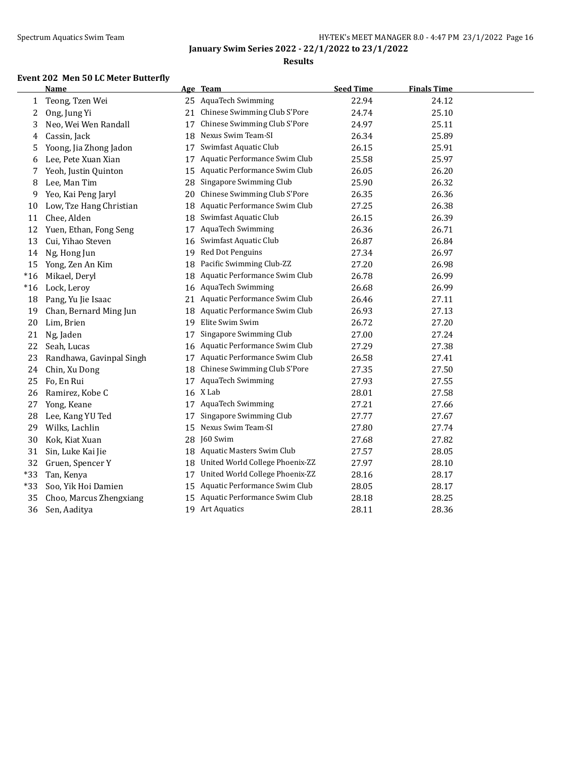## Spectrum Aquatics Swim Team **HY-TEK's MEET MANAGER 8.0 - 4:47 PM 23/1/2022** Page 16

**January Swim Series 2022 - 22/1/2022 to 23/1/2022**

### **Results**

# **Event 202 Men 50 LC Meter Butterfly**

|       | <b>Name</b>              |    | Age Team                         | <b>Seed Time</b> | <b>Finals Time</b> |  |
|-------|--------------------------|----|----------------------------------|------------------|--------------------|--|
| 1     | Teong, Tzen Wei          |    | 25 AquaTech Swimming             | 22.94            | 24.12              |  |
| 2     | Ong, Jung Yi             | 21 | Chinese Swimming Club S'Pore     | 24.74            | 25.10              |  |
| 3     | Neo, Wei Wen Randall     | 17 | Chinese Swimming Club S'Pore     | 24.97            | 25.11              |  |
| 4     | Cassin, Jack             | 18 | Nexus Swim Team-SI               | 26.34            | 25.89              |  |
| 5     | Yoong, Jia Zhong Jadon   | 17 | Swimfast Aquatic Club            | 26.15            | 25.91              |  |
| 6     | Lee, Pete Xuan Xian      | 17 | Aquatic Performance Swim Club    | 25.58            | 25.97              |  |
| 7     | Yeoh, Justin Quinton     | 15 | Aquatic Performance Swim Club    | 26.05            | 26.20              |  |
| 8     | Lee, Man Tim             | 28 | Singapore Swimming Club          | 25.90            | 26.32              |  |
| 9     | Yeo, Kai Peng Jaryl      | 20 | Chinese Swimming Club S'Pore     | 26.35            | 26.36              |  |
| 10    | Low, Tze Hang Christian  | 18 | Aquatic Performance Swim Club    | 27.25            | 26.38              |  |
| 11    | Chee, Alden              | 18 | Swimfast Aquatic Club            | 26.15            | 26.39              |  |
| 12    | Yuen, Ethan, Fong Seng   | 17 | <b>AquaTech Swimming</b>         | 26.36            | 26.71              |  |
| 13    | Cui, Yihao Steven        | 16 | Swimfast Aquatic Club            | 26.87            | 26.84              |  |
| 14    | Ng, Hong Jun             | 19 | Red Dot Penguins                 | 27.34            | 26.97              |  |
| 15    | Yong, Zen An Kim         | 18 | Pacific Swimming Club-ZZ         | 27.20            | 26.98              |  |
| $*16$ | Mikael, Deryl            | 18 | Aquatic Performance Swim Club    | 26.78            | 26.99              |  |
| $*16$ | Lock, Leroy              |    | 16 AquaTech Swimming             | 26.68            | 26.99              |  |
| 18    | Pang, Yu Jie Isaac       |    | 21 Aquatic Performance Swim Club | 26.46            | 27.11              |  |
| 19    | Chan, Bernard Ming Jun   |    | 18 Aquatic Performance Swim Club | 26.93            | 27.13              |  |
| 20    | Lim, Brien               | 19 | Elite Swim Swim                  | 26.72            | 27.20              |  |
| 21    | Ng, Jaden                | 17 | Singapore Swimming Club          | 27.00            | 27.24              |  |
| 22    | Seah, Lucas              |    | 16 Aquatic Performance Swim Club | 27.29            | 27.38              |  |
| 23    | Randhawa, Gavinpal Singh | 17 | Aquatic Performance Swim Club    | 26.58            | 27.41              |  |
| 24    | Chin, Xu Dong            | 18 | Chinese Swimming Club S'Pore     | 27.35            | 27.50              |  |
| 25    | Fo, En Rui               | 17 | AquaTech Swimming                | 27.93            | 27.55              |  |
| 26    | Ramirez, Kobe C          |    | 16 X Lab                         | 28.01            | 27.58              |  |
| 27    | Yong, Keane              | 17 | AquaTech Swimming                | 27.21            | 27.66              |  |
| 28    | Lee, Kang YU Ted         | 17 | Singapore Swimming Club          | 27.77            | 27.67              |  |
| 29    | Wilks, Lachlin           | 15 | Nexus Swim Team-SI               | 27.80            | 27.74              |  |
| 30    | Kok, Kiat Xuan           |    | 28 J60 Swim                      | 27.68            | 27.82              |  |
| 31    | Sin, Luke Kai Jie        |    | 18 Aquatic Masters Swim Club     | 27.57            | 28.05              |  |
| 32    | Gruen, Spencer Y         | 18 | United World College Phoenix-ZZ  | 27.97            | 28.10              |  |
| $*33$ | Tan, Kenya               | 17 | United World College Phoenix-ZZ  | 28.16            | 28.17              |  |
| $*33$ | Soo, Yik Hoi Damien      | 15 | Aquatic Performance Swim Club    | 28.05            | 28.17              |  |
| 35    | Choo, Marcus Zhengxiang  |    | 15 Aquatic Performance Swim Club | 28.18            | 28.25              |  |
| 36    | Sen, Aaditya             |    | 19 Art Aquatics                  | 28.11            | 28.36              |  |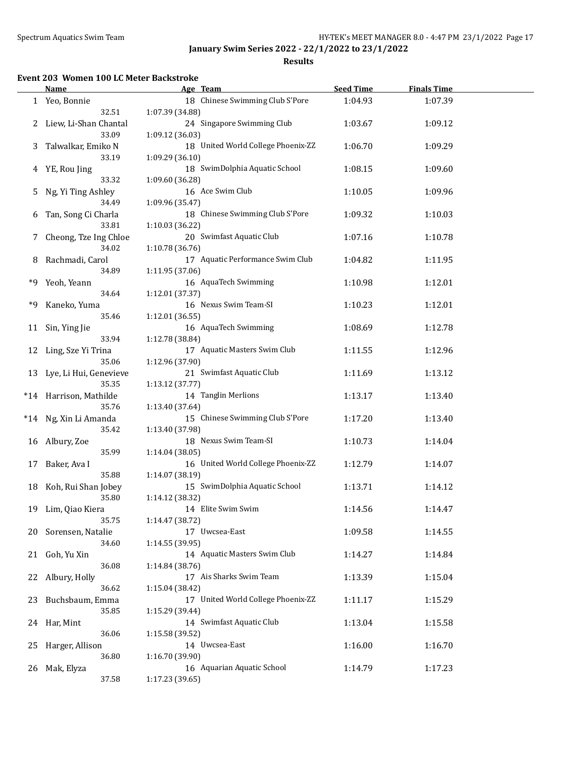**Results**

### **Event 203 Women 100 LC Meter Backstroke**

|    | Name                      | Age Team                           | <b>Seed Time</b> | <b>Finals Time</b> |  |
|----|---------------------------|------------------------------------|------------------|--------------------|--|
|    | 1 Yeo, Bonnie             | 18 Chinese Swimming Club S'Pore    | 1:04.93          | 1:07.39            |  |
|    | 32.51                     | 1:07.39 (34.88)                    |                  |                    |  |
|    | 2 Liew, Li-Shan Chantal   | 24 Singapore Swimming Club         | 1:03.67          | 1:09.12            |  |
|    | 33.09                     | 1:09.12 (36.03)                    |                  |                    |  |
| 3  | Talwalkar, Emiko N        | 18 United World College Phoenix-ZZ | 1:06.70          | 1:09.29            |  |
|    | 33.19                     |                                    |                  |                    |  |
|    |                           | 1:09.29 (36.10)                    |                  |                    |  |
| 4  | YE, Rou Jing              | 18 SwimDolphia Aquatic School      | 1:08.15          | 1:09.60            |  |
|    | 33.32                     | 1:09.60 (36.28)                    |                  |                    |  |
| 5. | Ng, Yi Ting Ashley        | 16 Ace Swim Club                   | 1:10.05          | 1:09.96            |  |
|    | 34.49                     | 1:09.96 (35.47)                    |                  |                    |  |
| 6  | Tan, Song Ci Charla       | 18 Chinese Swimming Club S'Pore    | 1:09.32          | 1:10.03            |  |
|    | 33.81                     | 1:10.03 (36.22)                    |                  |                    |  |
| 7  | Cheong, Tze Ing Chloe     | 20 Swimfast Aquatic Club           | 1:07.16          | 1:10.78            |  |
|    | 34.02                     | 1:10.78 (36.76)                    |                  |                    |  |
| 8  | Rachmadi, Carol           | 17 Aquatic Performance Swim Club   | 1:04.82          | 1:11.95            |  |
|    | 34.89                     | 1:11.95 (37.06)                    |                  |                    |  |
| *9 | Yeoh, Yeann               | 16 AquaTech Swimming               | 1:10.98          | 1:12.01            |  |
|    | 34.64                     | 1:12.01 (37.37)                    |                  |                    |  |
| *9 | Kaneko, Yuma              | 16 Nexus Swim Team-SI              | 1:10.23          | 1:12.01            |  |
|    | 35.46                     | 1:12.01 (36.55)                    |                  |                    |  |
|    |                           | 16 AquaTech Swimming               |                  |                    |  |
| 11 | Sin, Ying Jie             |                                    | 1:08.69          | 1:12.78            |  |
|    | 33.94                     | 1:12.78 (38.84)                    |                  |                    |  |
|    | 12 Ling, Sze Yi Trina     | 17 Aquatic Masters Swim Club       | 1:11.55          | 1:12.96            |  |
|    | 35.06                     | 1:12.96 (37.90)                    |                  |                    |  |
|    | 13 Lye, Li Hui, Genevieve | 21 Swimfast Aquatic Club           | 1:11.69          | 1:13.12            |  |
|    | 35.35                     | 1:13.12 (37.77)                    |                  |                    |  |
|    | *14 Harrison, Mathilde    | 14 Tanglin Merlions                | 1:13.17          | 1:13.40            |  |
|    | 35.76                     | 1:13.40 (37.64)                    |                  |                    |  |
|    | *14 Ng, Xin Li Amanda     | 15 Chinese Swimming Club S'Pore    | 1:17.20          | 1:13.40            |  |
|    | 35.42                     | 1:13.40 (37.98)                    |                  |                    |  |
| 16 | Albury, Zoe               | 18 Nexus Swim Team-SI              | 1:10.73          | 1:14.04            |  |
|    | 35.99                     | 1:14.04 (38.05)                    |                  |                    |  |
| 17 | Baker, Ava I              | 16 United World College Phoenix-ZZ | 1:12.79          | 1:14.07            |  |
|    | 35.88                     | 1:14.07 (38.19)                    |                  |                    |  |
| 18 | Koh, Rui Shan Jobey       | 15 SwimDolphia Aquatic School      | 1:13.71          | 1:14.12            |  |
|    | 35.80                     | 1:14.12 (38.32)                    |                  |                    |  |
|    |                           | 14 Elite Swim Swim                 |                  |                    |  |
|    | 19 Lim, Qiao Kiera        |                                    | 1:14.56          | 1:14.47            |  |
|    | 35.75                     | 1:14.47 (38.72)                    |                  |                    |  |
| 20 | Sorensen, Natalie         | 17 Uwcsea-East                     | 1:09.58          | 1:14.55            |  |
|    | 34.60                     | 1:14.55 (39.95)                    |                  |                    |  |
| 21 | Goh, Yu Xin               | 14 Aquatic Masters Swim Club       | 1:14.27          | 1:14.84            |  |
|    | 36.08                     | 1:14.84 (38.76)                    |                  |                    |  |
| 22 | Albury, Holly             | 17 Ais Sharks Swim Team            | 1:13.39          | 1:15.04            |  |
|    | 36.62                     | 1:15.04 (38.42)                    |                  |                    |  |
| 23 | Buchsbaum, Emma           | 17 United World College Phoenix-ZZ | 1:11.17          | 1:15.29            |  |
|    | 35.85                     | 1:15.29 (39.44)                    |                  |                    |  |
|    | 24 Har, Mint              | 14 Swimfast Aquatic Club           | 1:13.04          | 1:15.58            |  |
|    | 36.06                     | 1:15.58 (39.52)                    |                  |                    |  |
| 25 | Harger, Allison           | 14 Uwcsea-East                     | 1:16.00          | 1:16.70            |  |
|    | 36.80                     | 1:16.70 (39.90)                    |                  |                    |  |
|    | Mak, Elyza                | 16 Aquarian Aquatic School         |                  | 1:17.23            |  |
| 26 |                           |                                    | 1:14.79          |                    |  |
|    | 37.58                     | 1:17.23 (39.65)                    |                  |                    |  |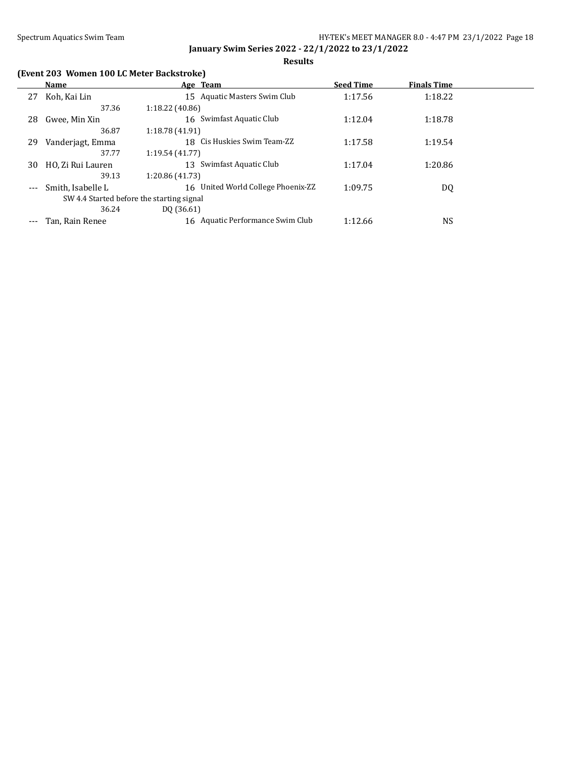**Results**

# **(Event 203 Women 100 LC Meter Backstroke)**

|       | Name                                      | Age Team                           | <b>Seed Time</b> | <b>Finals Time</b> |  |
|-------|-------------------------------------------|------------------------------------|------------------|--------------------|--|
| 27    | Koh, Kai Lin                              | 15 Aquatic Masters Swim Club       | 1:17.56          | 1:18.22            |  |
|       | 37.36                                     | 1:18.22(40.86)                     |                  |                    |  |
| 28    | Gwee, Min Xin                             | 16 Swimfast Aquatic Club           | 1:12.04          | 1:18.78            |  |
|       | 36.87                                     | 1:18.78(41.91)                     |                  |                    |  |
| 29    | Vanderjagt, Emma                          | 18 Cis Huskies Swim Team-ZZ        | 1:17.58          | 1:19.54            |  |
|       | 37.77                                     | 1:19.54(41.77)                     |                  |                    |  |
| 30    | HO, Zi Rui Lauren                         | Swimfast Aquatic Club<br>13        | 1:17.04          | 1:20.86            |  |
|       | 39.13                                     | 1:20.86 (41.73)                    |                  |                    |  |
| $---$ | Smith, Isabelle L                         | 16 United World College Phoenix-ZZ | 1:09.75          | DQ                 |  |
|       | SW 4.4 Started before the starting signal |                                    |                  |                    |  |
|       | 36.24                                     | DO (36.61)                         |                  |                    |  |
| $---$ | Tan, Rain Renee                           | 16 Aquatic Performance Swim Club   | 1:12.66          | NS                 |  |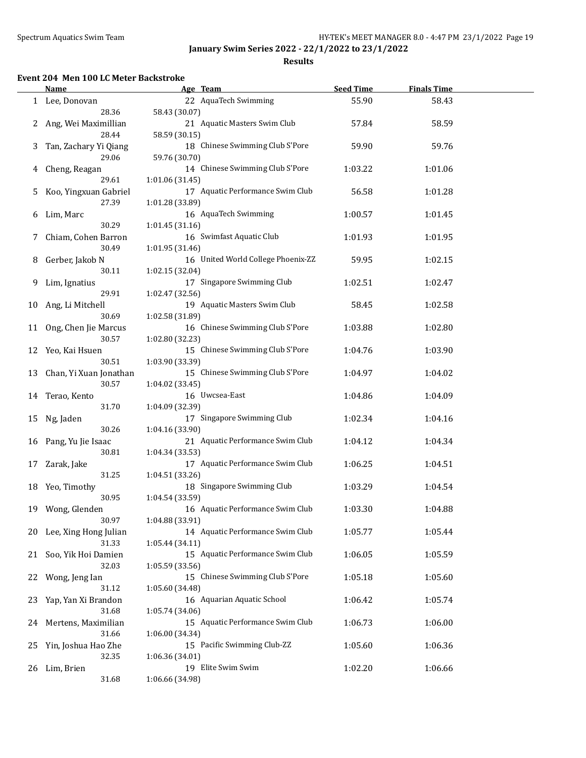**Results**

### **Event 204 Men 100 LC Meter Backstroke**

|    | <b>Name</b>                  | Age Team                           | <b>Seed Time</b> | <b>Finals Time</b> |  |
|----|------------------------------|------------------------------------|------------------|--------------------|--|
|    | 1 Lee, Donovan               | 22 AquaTech Swimming               | 55.90            | 58.43              |  |
|    | 28.36                        | 58.43 (30.07)                      |                  |                    |  |
| 2  | Ang, Wei Maximillian         | 21 Aquatic Masters Swim Club       | 57.84            | 58.59              |  |
|    | 28.44                        | 58.59 (30.15)                      |                  |                    |  |
| 3  | Tan, Zachary Yi Qiang        | 18 Chinese Swimming Club S'Pore    | 59.90            | 59.76              |  |
|    | 29.06                        | 59.76 (30.70)                      |                  |                    |  |
|    |                              | 14 Chinese Swimming Club S'Pore    |                  |                    |  |
| 4  | Cheng, Reagan                |                                    | 1:03.22          | 1:01.06            |  |
|    | 29.61                        | 1:01.06 (31.45)                    |                  |                    |  |
| 5  | Koo, Yingxuan Gabriel        | 17 Aquatic Performance Swim Club   | 56.58            | 1:01.28            |  |
|    | 27.39                        | 1:01.28 (33.89)                    |                  |                    |  |
| 6  | Lim, Marc                    | 16 AquaTech Swimming               | 1:00.57          | 1:01.45            |  |
|    | 30.29                        | 1:01.45 (31.16)                    |                  |                    |  |
| 7  | Chiam, Cohen Barron          | 16 Swimfast Aquatic Club           | 1:01.93          | 1:01.95            |  |
|    | 30.49                        | 1:01.95 (31.46)                    |                  |                    |  |
| 8  | Gerber, Jakob N              | 16 United World College Phoenix-ZZ | 59.95            | 1:02.15            |  |
|    | 30.11                        | 1:02.15 (32.04)                    |                  |                    |  |
| 9  | Lim, Ignatius                | 17 Singapore Swimming Club         | 1:02.51          | 1:02.47            |  |
|    | 29.91                        | 1:02.47 (32.56)                    |                  |                    |  |
| 10 | Ang, Li Mitchell             | 19 Aquatic Masters Swim Club       | 58.45            | 1:02.58            |  |
|    | 30.69                        | 1:02.58 (31.89)                    |                  |                    |  |
|    | 11 Ong, Chen Jie Marcus      | 16 Chinese Swimming Club S'Pore    | 1:03.88          | 1:02.80            |  |
|    | 30.57                        | 1:02.80 (32.23)                    |                  |                    |  |
|    | Yeo, Kai Hsuen               | 15 Chinese Swimming Club S'Pore    |                  |                    |  |
| 12 | 30.51                        |                                    | 1:04.76          | 1:03.90            |  |
|    |                              | 1:03.90 (33.39)                    |                  |                    |  |
| 13 | Chan, Yi Xuan Jonathan       | 15 Chinese Swimming Club S'Pore    | 1:04.97          | 1:04.02            |  |
|    | 30.57                        | 1:04.02 (33.45)                    |                  |                    |  |
|    | 14 Terao, Kento              | 16 Uwcsea-East                     | 1:04.86          | 1:04.09            |  |
|    | 31.70                        | 1:04.09 (32.39)                    |                  |                    |  |
| 15 | Ng, Jaden                    | 17 Singapore Swimming Club         | 1:02.34          | 1:04.16            |  |
|    | 30.26                        | 1:04.16 (33.90)                    |                  |                    |  |
|    | 16 Pang, Yu Jie Isaac        | 21 Aquatic Performance Swim Club   | 1:04.12          | 1:04.34            |  |
|    | 30.81                        | 1:04.34 (33.53)                    |                  |                    |  |
| 17 | Zarak, Jake                  | 17 Aquatic Performance Swim Club   | 1:06.25          | 1:04.51            |  |
|    | 31.25                        | 1:04.51 (33.26)                    |                  |                    |  |
| 18 | Yeo, Timothy                 | 18 Singapore Swimming Club         | 1:03.29          | 1:04.54            |  |
|    | 30.95                        | 1:04.54 (33.59)                    |                  |                    |  |
|    | 19 Wong, Glenden             | 16 Aquatic Performance Swim Club   | 1:03.30          | 1:04.88            |  |
|    | 30.97                        | 1:04.88 (33.91)                    |                  |                    |  |
| 20 | Lee, Xing Hong Julian        | 14 Aquatic Performance Swim Club   | 1:05.77          | 1:05.44            |  |
|    | 31.33                        | 1:05.44 (34.11)                    |                  |                    |  |
|    |                              | 15 Aquatic Performance Swim Club   | 1:06.05          |                    |  |
| 21 | Soo, Yik Hoi Damien<br>32.03 |                                    |                  | 1:05.59            |  |
|    |                              | 1:05.59 (33.56)                    |                  |                    |  |
| 22 | Wong, Jeng Ian               | 15 Chinese Swimming Club S'Pore    | 1:05.18          | 1:05.60            |  |
|    | 31.12                        | 1:05.60 (34.48)                    |                  |                    |  |
| 23 | Yap, Yan Xi Brandon          | 16 Aquarian Aquatic School         | 1:06.42          | 1:05.74            |  |
|    | 31.68                        | 1:05.74 (34.06)                    |                  |                    |  |
| 24 | Mertens, Maximilian          | 15 Aquatic Performance Swim Club   | 1:06.73          | 1:06.00            |  |
|    | 31.66                        | 1:06.00 (34.34)                    |                  |                    |  |
| 25 | Yin, Joshua Hao Zhe          | 15 Pacific Swimming Club-ZZ        | 1:05.60          | 1:06.36            |  |
|    | 32.35                        | 1:06.36 (34.01)                    |                  |                    |  |
| 26 | Lim, Brien                   | 19 Elite Swim Swim                 | 1:02.20          | 1:06.66            |  |
|    | 31.68                        | 1:06.66 (34.98)                    |                  |                    |  |
|    |                              |                                    |                  |                    |  |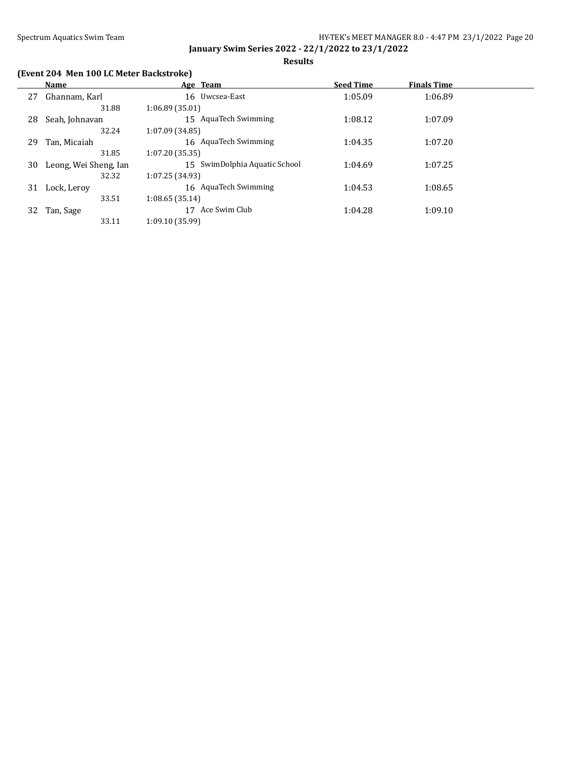**Results**

## **(Event 204 Men 100 LC Meter Backstroke)**

|    | Name                  |                 | Age Team                      | <b>Seed Time</b> | <b>Finals Time</b> |  |
|----|-----------------------|-----------------|-------------------------------|------------------|--------------------|--|
| 27 | Ghannam, Karl         |                 | 16 Uwcsea-East                | 1:05.09          | 1:06.89            |  |
|    | 31.88                 | 1:06.89(35.01)  |                               |                  |                    |  |
| 28 | Seah, Johnavan        |                 | 15 AquaTech Swimming          | 1:08.12          | 1:07.09            |  |
|    | 32.24                 | 1:07.09 (34.85) |                               |                  |                    |  |
| 29 | Tan, Micaiah          |                 | 16 AquaTech Swimming          | 1:04.35          | 1:07.20            |  |
|    | 31.85                 | 1:07.20(35.35)  |                               |                  |                    |  |
| 30 | Leong, Wei Sheng, Jan |                 | 15 SwimDolphia Aquatic School | 1:04.69          | 1:07.25            |  |
|    | 32.32                 | 1:07.25 (34.93) |                               |                  |                    |  |
| 31 | Lock, Leroy           |                 | 16 AquaTech Swimming          | 1:04.53          | 1:08.65            |  |
|    | 33.51                 | 1:08.65(35.14)  |                               |                  |                    |  |
| 32 | Tan, Sage             | 17              | Ace Swim Club                 | 1:04.28          | 1:09.10            |  |
|    | 33.11                 | 1:09.10 (35.99) |                               |                  |                    |  |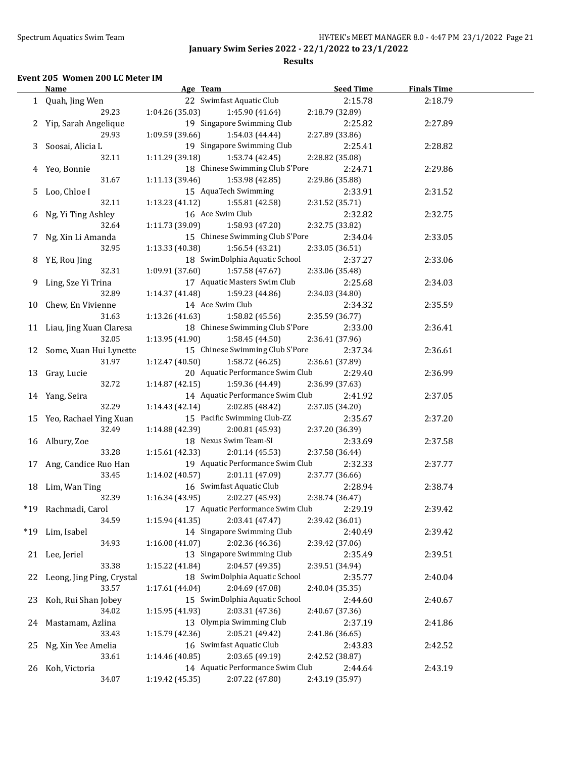#### **Results**

### **Event 205 Women 200 LC Meter IM**

|       | <b>Name</b>                | Age Team                                        | <b>Seed Time</b> | <b>Finals Time</b> |  |
|-------|----------------------------|-------------------------------------------------|------------------|--------------------|--|
|       | 1 Quah, Jing Wen           | 22 Swimfast Aquatic Club                        | 2:15.78          | 2:18.79            |  |
|       | 29.23                      | 1:04.26 (35.03)<br>1:45.90 (41.64)              | 2:18.79 (32.89)  |                    |  |
|       | 2 Yip, Sarah Angelique     | 19 Singapore Swimming Club                      | 2:25.82          | 2:27.89            |  |
|       | 29.93                      | 1:09.59 (39.66)<br>1:54.03 (44.44)              | 2:27.89 (33.86)  |                    |  |
|       | 3 Soosai, Alicia L         | 19 Singapore Swimming Club                      | 2:25.41          | 2:28.82            |  |
|       | 32.11                      | 1:11.29 (39.18)<br>1:53.74 (42.45)              | 2:28.82 (35.08)  |                    |  |
|       | 4 Yeo, Bonnie              | 18 Chinese Swimming Club S'Pore                 | 2:24.71          | 2:29.86            |  |
|       | 31.67                      | 1:11.13 (39.46)<br>1:53.98 (42.85)              | 2:29.86 (35.88)  |                    |  |
|       | 5 Loo, Chloe I             | 15 AquaTech Swimming                            | 2:33.91          | 2:31.52            |  |
|       | 32.11                      | 1:13.23 (41.12)<br>1:55.81 (42.58)              | 2:31.52 (35.71)  |                    |  |
|       | 6 Ng, Yi Ting Ashley       | 16 Ace Swim Club                                | 2:32.82          | 2:32.75            |  |
|       | 32.64                      | 1:11.73(39.09)<br>1:58.93 (47.20)               | 2:32.75 (33.82)  |                    |  |
|       | 7 Ng, Xin Li Amanda        | 15 Chinese Swimming Club S'Pore                 | 2:34.04          | 2:33.05            |  |
|       | 32.95                      | 1:13.33(40.38)<br>1:56.54 (43.21)               | 2:33.05 (36.51)  |                    |  |
|       |                            | 18 SwimDolphia Aquatic School                   |                  |                    |  |
|       | 8 YE, Rou Jing<br>32.31    | 1:09.91(37.60)                                  | 2:37.27          | 2:33.06            |  |
|       |                            | 1:57.58 (47.67)<br>17 Aquatic Masters Swim Club | 2:33.06 (35.48)  |                    |  |
|       | 9 Ling, Sze Yi Trina       |                                                 | 2:25.68          | 2:34.03            |  |
|       | 32.89                      | 1:14.37(41.48)<br>1:59.23 (44.86)               | 2:34.03 (34.80)  |                    |  |
|       | 10 Chew, En Vivienne       | 14 Ace Swim Club                                | 2:34.32          | 2:35.59            |  |
|       | 31.63                      | 1:13.26(41.63)<br>1:58.82 (45.56)               | 2:35.59 (36.77)  |                    |  |
|       | 11 Liau, Jing Xuan Claresa | 18 Chinese Swimming Club S'Pore                 | 2:33.00          | 2:36.41            |  |
|       | 32.05                      | 1:13.95(41.90)<br>1:58.45 (44.50)               | 2:36.41 (37.96)  |                    |  |
|       | 12 Some, Xuan Hui Lynette  | 15 Chinese Swimming Club S'Pore                 | 2:37.34          | 2:36.61            |  |
|       | 31.97                      | 1:12.47(40.50)<br>1:58.72 (46.25)               | 2:36.61 (37.89)  |                    |  |
|       | 13 Gray, Lucie             | 20 Aquatic Performance Swim Club                | 2:29.40          | 2:36.99            |  |
|       | 32.72                      | 1:14.87(42.15)<br>1:59.36 (44.49)               | 2:36.99 (37.63)  |                    |  |
|       | 14 Yang, Seira             | 14 Aquatic Performance Swim Club                | 2:41.92          | 2:37.05            |  |
|       | 32.29                      | 1:14.43(42.14)<br>2:02.85 (48.42)               | 2:37.05 (34.20)  |                    |  |
|       | 15 Yeo, Rachael Ying Xuan  | 15 Pacific Swimming Club-ZZ                     | 2:35.67          | 2:37.20            |  |
|       | 32.49                      | 1:14.88 (42.39)<br>2:00.81 (45.93)              | 2:37.20 (36.39)  |                    |  |
|       | 16 Albury, Zoe             | 18 Nexus Swim Team-SI                           | 2:33.69          | 2:37.58            |  |
|       | 33.28                      | 1:15.61(42.33)<br>2:01.14 (45.53)               | 2:37.58 (36.44)  |                    |  |
|       | 17 Ang, Candice Ruo Han    | 19 Aquatic Performance Swim Club                | 2:32.33          | 2:37.77            |  |
|       | 33.45                      | 1:14.02(40.57)<br>2:01.11 (47.09)               | 2:37.77 (36.66)  |                    |  |
|       | 18 Lim, Wan Ting           | 16 Swimfast Aquatic Club                        | 2:28.94          | 2:38.74            |  |
|       | 32.39                      | 2:02.27 (45.93)<br>1:16.34(43.95)               | 2:38.74 (36.47)  |                    |  |
|       | *19 Rachmadi, Carol        | 17 Aquatic Performance Swim Club                | 2:29.19          | 2:39.42            |  |
|       | 34.59                      | 1:15.94 (41.35)<br>2:03.41 (47.47)              | 2:39.42 (36.01)  |                    |  |
| $*19$ | Lim, Isabel                | 14 Singapore Swimming Club                      | 2:40.49          | 2:39.42            |  |
|       | 34.93                      | 1:16.00(41.07)<br>2:02.36 (46.36)               | 2:39.42 (37.06)  |                    |  |
|       | 21 Lee, Jeriel             | 13 Singapore Swimming Club                      | 2:35.49          | 2:39.51            |  |
|       | 33.38                      | 2:04.57 (49.35)<br>1:15.22 (41.84)              | 2:39.51 (34.94)  |                    |  |
| 22    | Leong, Jing Ping, Crystal  | 18 SwimDolphia Aquatic School                   | 2:35.77          | 2:40.04            |  |
|       | 33.57                      | 2:04.69 (47.08)<br>1:17.61 (44.04)              | 2:40.04 (35.35)  |                    |  |
| 23    | Koh, Rui Shan Jobey        | 15 SwimDolphia Aquatic School                   | 2:44.60          | 2:40.67            |  |
|       | 34.02                      | 2:03.31 (47.36)<br>1:15.95 (41.93)              | 2:40.67 (37.36)  |                    |  |
| 24    | Mastamam, Azlina           | 13 Olympia Swimming Club                        | 2:37.19          | 2:41.86            |  |
|       | 33.43                      | 2:05.21 (49.42)<br>1:15.79 (42.36)              | 2:41.86 (36.65)  |                    |  |
| 25    | Ng, Xin Yee Amelia         | 16 Swimfast Aquatic Club                        | 2:43.83          | 2:42.52            |  |
|       | 33.61                      | 2:03.65 (49.19)<br>1:14.46 (40.85)              | 2:42.52 (38.87)  |                    |  |
| 26    | Koh, Victoria              | 14 Aquatic Performance Swim Club                | 2:44.64          | 2:43.19            |  |
|       | 34.07                      | 2:07.22 (47.80)<br>1:19.42 (45.35)              | 2:43.19 (35.97)  |                    |  |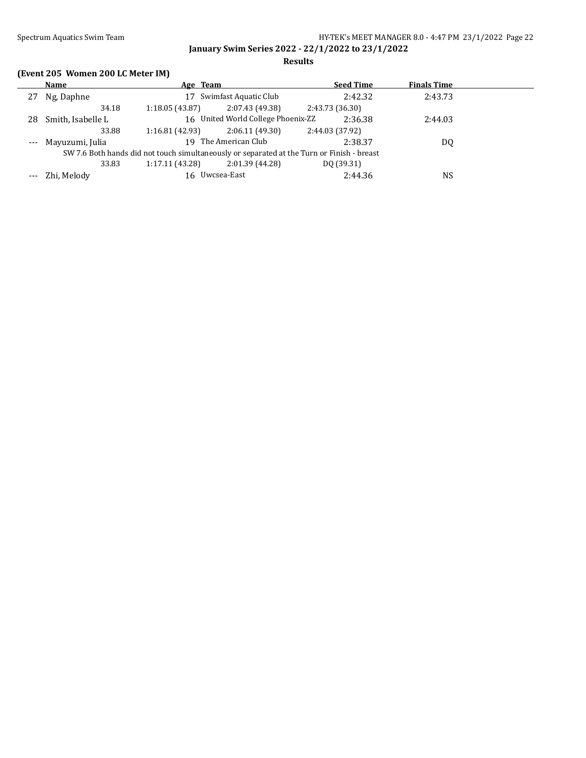**Results**

# **(Event 205 Women 200 LC Meter IM)**

|     | Name                                                                                       | Age Team       |                                    | <b>Seed Time</b> | <b>Finals Time</b> |  |
|-----|--------------------------------------------------------------------------------------------|----------------|------------------------------------|------------------|--------------------|--|
| 27  | Ng, Daphne                                                                                 |                | 17 Swimfast Aquatic Club           | 2:42.32          | 2:43.73            |  |
|     | 34.18                                                                                      | 1:18.05(43.87) | 2:07.43 (49.38)                    | 2:43.73 (36.30)  |                    |  |
| 28. | Smith, Isabelle L                                                                          |                | 16 United World College Phoenix-ZZ | 2:36.38          | 2:44.03            |  |
|     | 33.88                                                                                      | 1:16.81(42.93) | 2:06.11(49.30)                     | 2:44.03 (37.92)  |                    |  |
|     | --- Mayuzumi, Julia                                                                        |                | 19 The American Club               | 2:38.37          | DQ                 |  |
|     | SW 7.6 Both hands did not touch simultaneously or separated at the Turn or Finish - breast |                |                                    |                  |                    |  |
|     | 33.83                                                                                      | 1:17.11(43.28) | 2:01.39 (44.28)                    | DQ (39.31)       |                    |  |
|     | --- Zhi, Melody                                                                            |                | 16 Uwcsea-East                     | 2:44.36          | NS                 |  |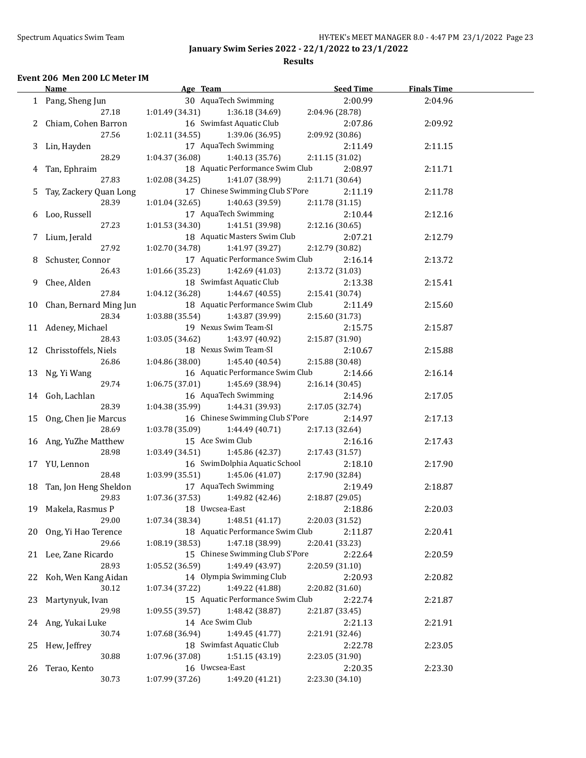#### **Results**

### **Event 206 Men 200 LC Meter IM**

|    | Name                      | Age Team                                                   | <b>Seed Time</b> | <b>Finals Time</b> |  |
|----|---------------------------|------------------------------------------------------------|------------------|--------------------|--|
|    | 1 Pang, Sheng Jun         | 30 AquaTech Swimming                                       | 2:00.99          | 2:04.96            |  |
|    | 27.18                     | 1:01.49 (34.31)<br>1:36.18 (34.69)                         | 2:04.96 (28.78)  |                    |  |
|    | 2 Chiam, Cohen Barron     | 16 Swimfast Aquatic Club                                   | 2:07.86          | 2:09.92            |  |
|    | 27.56                     | 1:02.11 (34.55)<br>1:39.06 (36.95)                         | 2:09.92 (30.86)  |                    |  |
|    | 3 Lin, Hayden             | 17 AquaTech Swimming                                       | 2:11.49          | 2:11.15            |  |
|    | 28.29                     | 1:04.37 (36.08)<br>1:40.13 (35.76)                         | 2:11.15 (31.02)  |                    |  |
|    | 4 Tan, Ephraim            | 18 Aquatic Performance Swim Club                           | 2:08.97          | 2:11.71            |  |
|    | 27.83                     | 1:02.08 (34.25)<br>1:41.07 (38.99)                         | 2:11.71 (30.64)  |                    |  |
|    |                           | 17 Chinese Swimming Club S'Pore                            |                  |                    |  |
|    | 5 Tay, Zackery Quan Long  |                                                            | 2:11.19          | 2:11.78            |  |
|    | 28.39                     | 1:40.63 (39.59)<br>1:01.04 (32.65)<br>17 AquaTech Swimming | 2:11.78 (31.15)  |                    |  |
|    | 6 Loo, Russell            |                                                            | 2:10.44          | 2:12.16            |  |
|    | 27.23                     | 1:01.53 (34.30)<br>1:41.51 (39.98)                         | 2:12.16 (30.65)  |                    |  |
|    | 7 Lium, Jerald            | 18 Aquatic Masters Swim Club                               | 2:07.21          | 2:12.79            |  |
|    | 27.92                     | 1:02.70 (34.78)<br>1:41.97 (39.27)                         | 2:12.79 (30.82)  |                    |  |
|    | 8 Schuster, Connor        | 17 Aquatic Performance Swim Club                           | 2:16.14          | 2:13.72            |  |
|    | 26.43                     | 1:01.66 (35.23)<br>1:42.69 (41.03)                         | 2:13.72 (31.03)  |                    |  |
|    | 9 Chee, Alden             | 18 Swimfast Aquatic Club                                   | 2:13.38          | 2:15.41            |  |
|    | 27.84                     | 1:04.12(36.28)<br>1:44.67 (40.55)                          | 2:15.41 (30.74)  |                    |  |
|    | 10 Chan, Bernard Ming Jun | 18 Aquatic Performance Swim Club                           | 2:11.49          | 2:15.60            |  |
|    | 28.34                     | 1:03.88(35.54)<br>1:43.87 (39.99)                          | 2:15.60 (31.73)  |                    |  |
|    | 11 Adeney, Michael        | 19 Nexus Swim Team-SI                                      | 2:15.75          | 2:15.87            |  |
|    | 28.43                     | 1:03.05(34.62)<br>1:43.97 (40.92)                          | 2:15.87 (31.90)  |                    |  |
|    | 12 Chrisstoffels, Niels   | 18 Nexus Swim Team-SI                                      | 2:10.67          | 2:15.88            |  |
|    | 26.86                     | 1:04.86 (38.00)<br>1:45.40 (40.54)                         | 2:15.88 (30.48)  |                    |  |
|    | 13 Ng, Yi Wang            | 16 Aquatic Performance Swim Club                           | 2:14.66          | 2:16.14            |  |
|    | 29.74                     | 1:06.75(37.01)<br>1:45.69 (38.94)                          | 2:16.14 (30.45)  |                    |  |
|    | 14 Goh, Lachlan           | 16 AquaTech Swimming                                       | 2:14.96          | 2:17.05            |  |
|    | 28.39                     | 1:04.38(35.99)<br>1:44.31 (39.93)                          | 2:17.05 (32.74)  |                    |  |
|    | 15 Ong, Chen Jie Marcus   | 16 Chinese Swimming Club S'Pore                            | 2:14.97          | 2:17.13            |  |
|    | 28.69                     | 1:03.78 (35.09)<br>1:44.49 (40.71)                         | 2:17.13 (32.64)  |                    |  |
|    | 16 Ang, YuZhe Matthew     | 15 Ace Swim Club                                           | 2:16.16          |                    |  |
|    | 28.98                     | 1:03.49 (34.51)                                            |                  | 2:17.43            |  |
|    |                           | 1:45.86 (42.37)                                            | 2:17.43 (31.57)  |                    |  |
|    | 17 YU, Lennon             | 16 SwimDolphia Aquatic School                              | 2:18.10          | 2:17.90            |  |
|    | 28.48                     | 1:03.99 (35.51)<br>1:45.06 (41.07)                         | 2:17.90 (32.84)  |                    |  |
|    | 18 Tan, Jon Heng Sheldon  | 17 AquaTech Swimming                                       | 2:19.49          | 2:18.87            |  |
|    | 29.83                     | 1:07.36 (37.53)<br>1:49.82 (42.46)                         | 2:18.87 (29.05)  |                    |  |
|    | 19 Makela, Rasmus P       | 18 Uwcsea-East                                             | 2:18.86          | 2:20.03            |  |
|    | 29.00                     | 1:48.51 (41.17)<br>1:07.34 (38.34)                         | 2:20.03 (31.52)  |                    |  |
|    | 20 Ong, Yi Hao Terence    | 18 Aquatic Performance Swim Club                           | 2:11.87          | 2:20.41            |  |
|    | 29.66                     | 1:08.19 (38.53)<br>1:47.18 (38.99)                         | 2:20.41 (33.23)  |                    |  |
|    | 21 Lee, Zane Ricardo      | 15 Chinese Swimming Club S'Pore                            | 2:22.64          | 2:20.59            |  |
|    | 28.93                     | 1:05.52 (36.59)<br>1:49.49 (43.97)                         | 2:20.59 (31.10)  |                    |  |
| 22 | Koh, Wen Kang Aidan       | 14 Olympia Swimming Club                                   | 2:20.93          | 2:20.82            |  |
|    | 30.12                     | 1:49.22 (41.88)<br>1:07.34 (37.22)                         | 2:20.82 (31.60)  |                    |  |
| 23 | Martynyuk, Ivan           | 15 Aquatic Performance Swim Club                           | 2:22.74          | 2:21.87            |  |
|    | 29.98                     | 1:09.55 (39.57)<br>1:48.42 (38.87)                         | 2:21.87 (33.45)  |                    |  |
| 24 | Ang, Yukai Luke           | 14 Ace Swim Club                                           | 2:21.13          | 2:21.91            |  |
|    | 30.74                     | 1:49.45 (41.77)<br>1:07.68 (36.94)                         | 2:21.91 (32.46)  |                    |  |
| 25 | Hew, Jeffrey              | 18 Swimfast Aquatic Club                                   | 2:22.78          | 2:23.05            |  |
|    | 30.88                     | 1:51.15 (43.19)<br>1:07.96 (37.08)                         | 2:23.05 (31.90)  |                    |  |
| 26 | Terao, Kento              | 16 Uwcsea-East                                             | 2:20.35          | 2:23.30            |  |
|    | 30.73                     | 1:07.99 (37.26)<br>1:49.20 (41.21)                         | 2:23.30 (34.10)  |                    |  |
|    |                           |                                                            |                  |                    |  |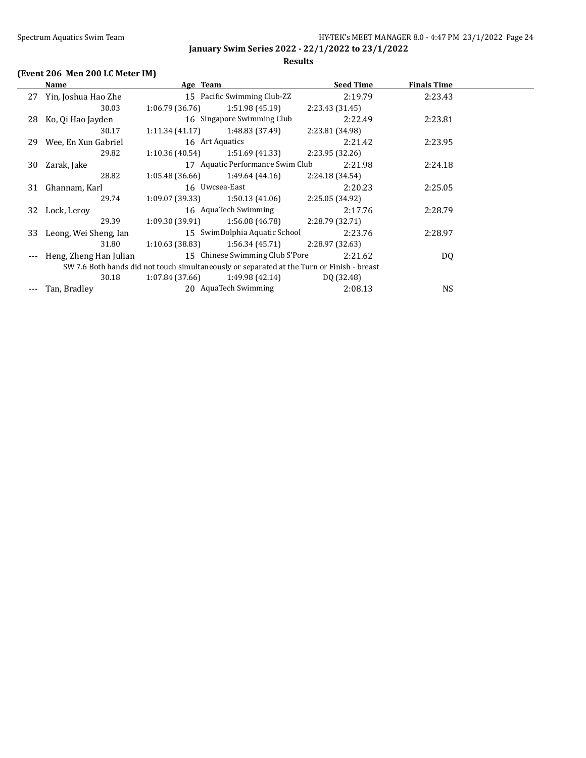#### **Results**

# **(Event 206 Men 200 LC Meter IM)**

|       | Name                   | Age Team        |                                  | <b>Seed Time</b>                                                                           | <b>Finals Time</b> |  |
|-------|------------------------|-----------------|----------------------------------|--------------------------------------------------------------------------------------------|--------------------|--|
|       | 27 Yin, Joshua Hao Zhe |                 | 15 Pacific Swimming Club-ZZ      | 2:19.79                                                                                    | 2:23.43            |  |
|       | 30.03                  | 1:06.79(36.76)  | 1:51.98(45.19)                   | 2:23.43(31.45)                                                                             |                    |  |
|       | 28 Ko, Qi Hao Jayden   |                 | 16 Singapore Swimming Club       | 2:22.49                                                                                    | 2:23.81            |  |
|       | 30.17                  | 1:11.34(41.17)  | 1:48.83 (37.49)                  | 2:23.81 (34.98)                                                                            |                    |  |
|       | 29 Wee, En Xun Gabriel | 16 Art Aquatics |                                  | 2:21.42                                                                                    | 2:23.95            |  |
|       | 29.82                  | 1:10.36(40.54)  | 1:51.69 (41.33)                  | 2:23.95 (32.26)                                                                            |                    |  |
| 30    | Zarak, Jake            |                 | 17 Aquatic Performance Swim Club | 2:21.98                                                                                    | 2:24.18            |  |
|       | 28.82                  | 1:05.48(36.66)  | 1:49.64 (44.16)                  | 2:24.18(34.54)                                                                             |                    |  |
| 31    | Ghannam, Karl          | 16 Uwcsea-East  |                                  | 2:20.23                                                                                    | 2:25.05            |  |
|       | 29.74                  | 1:09.07 (39.33) | 1:50.13 (41.06)                  | 2:25.05 (34.92)                                                                            |                    |  |
|       | 32 Lock, Leroy         |                 | 16 AquaTech Swimming             | 2:17.76                                                                                    | 2:28.79            |  |
|       | 29.39                  | 1:09.30 (39.91) | 1:56.08 (46.78)                  | 2:28.79 (32.71)                                                                            |                    |  |
| 33    | Leong, Wei Sheng, Ian  |                 | 15 SwimDolphia Aquatic School    | 2:23.76                                                                                    | 2:28.97            |  |
|       | 31.80                  | 1:10.63(38.83)  | 1:56.34(45.71)                   | 2:28.97 (32.63)                                                                            |                    |  |
| $---$ | Heng, Zheng Han Julian |                 | 15 Chinese Swimming Club S'Pore  | 2:21.62                                                                                    | DQ                 |  |
|       |                        |                 |                                  | SW 7.6 Both hands did not touch simultaneously or separated at the Turn or Finish - breast |                    |  |
|       | 30.18                  | 1:07.84(37.66)  | 1:49.98 (42.14)                  | DQ (32.48)                                                                                 |                    |  |
|       | Tan, Bradley           |                 | 20 AquaTech Swimming             | 2:08.13                                                                                    | NS.                |  |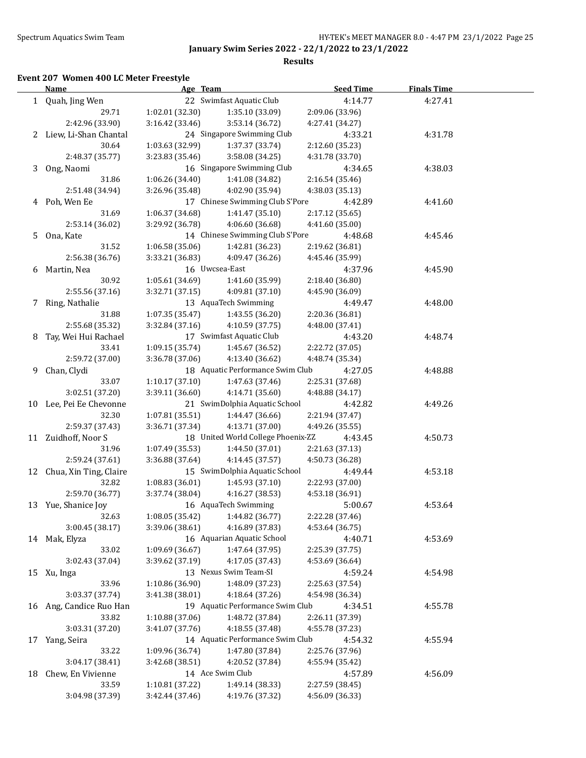**Results**

## **Event 207 Women 400 LC Meter Freestyle**

|    | <b>Name</b>               | Age Team                           |                                    | <b>Seed Time</b>                   | <b>Finals Time</b> |  |
|----|---------------------------|------------------------------------|------------------------------------|------------------------------------|--------------------|--|
|    | 1 Quah, Jing Wen          |                                    | 22 Swimfast Aquatic Club           | 4:14.77                            | 4:27.41            |  |
|    | 29.71                     | 1:02.01(32.30)                     | 1:35.10 (33.09)                    | 2:09.06 (33.96)                    |                    |  |
|    | 2:42.96 (33.90)           | 3:16.42(33.46)                     | 3:53.14 (36.72)                    | 4:27.41 (34.27)                    |                    |  |
|    | 2 Liew, Li-Shan Chantal   |                                    | 24 Singapore Swimming Club         | 4:33.21                            | 4:31.78            |  |
|    | 30.64                     | 1:03.63 (32.99)                    | 1:37.37 (33.74)                    | 2:12.60 (35.23)                    |                    |  |
|    | 2:48.37 (35.77)           | 3:23.83 (35.46)                    | 3:58.08 (34.25)                    | 4:31.78 (33.70)                    |                    |  |
| 3  | Ong, Naomi                |                                    | 16 Singapore Swimming Club         | 4:34.65                            | 4:38.03            |  |
|    | 31.86                     | 1:06.26(34.40)                     | 1:41.08 (34.82)                    | 2:16.54 (35.46)                    |                    |  |
|    | 2:51.48 (34.94)           | 3:26.96 (35.48)                    | 4:02.90 (35.94)                    | 4:38.03 (35.13)                    |                    |  |
|    | 4 Poh, Wen Ee             |                                    | 17 Chinese Swimming Club S'Pore    | 4:42.89                            | 4:41.60            |  |
|    | 31.69                     | 1:06.37 (34.68)                    | 1:41.47 (35.10)                    | 2:17.12 (35.65)                    |                    |  |
|    | 2:53.14 (36.02)           | 3:29.92 (36.78)                    | 4:06.60 (36.68)                    | 4:41.60 (35.00)                    |                    |  |
|    | 5 Ona, Kate               |                                    | 14 Chinese Swimming Club S'Pore    | 4:48.68                            | 4:45.46            |  |
|    | 31.52                     | 1:06.58(35.06)                     | 1:42.81 (36.23)                    | 2:19.62 (36.81)                    |                    |  |
|    | 2:56.38 (36.76)           | 3:33.21 (36.83)                    | 4:09.47 (36.26)                    | 4:45.46 (35.99)                    |                    |  |
| 6  | Martin, Nea               |                                    | 16 Uwcsea-East                     | 4:37.96                            | 4:45.90            |  |
|    | 30.92                     | 1:05.61(34.69)                     | 1:41.60 (35.99)                    | 2:18.40 (36.80)                    |                    |  |
|    | 2:55.56 (37.16)           | 3:32.71 (37.15)                    | 4:09.81 (37.10)                    | 4:45.90 (36.09)                    |                    |  |
|    | 7 Ring, Nathalie          |                                    | 13 AquaTech Swimming               | 4:49.47                            | 4:48.00            |  |
|    | 31.88                     | 1:07.35(35.47)                     | 1:43.55 (36.20)                    | 2:20.36 (36.81)                    |                    |  |
|    | 2:55.68 (35.32)           | 3:32.84 (37.16)                    | 4:10.59 (37.75)                    | 4:48.00 (37.41)                    |                    |  |
| 8  | Tay, Wei Hui Rachael      |                                    | 17 Swimfast Aquatic Club           | 4:43.20                            | 4:48.74            |  |
|    | 33.41                     | 1:09.15 (35.74)                    | 1:45.67 (36.52)                    | 2:22.72 (37.05)                    |                    |  |
|    | 2:59.72 (37.00)           | 3:36.78 (37.06)                    | 4:13.40 (36.62)                    | 4:48.74 (35.34)                    |                    |  |
| 9  | Chan, Clydi               |                                    | 18 Aquatic Performance Swim Club   | 4:27.05                            | 4:48.88            |  |
|    | 33.07                     | 1:10.17(37.10)                     | 1:47.63 (37.46)                    | 2:25.31 (37.68)                    |                    |  |
|    | 3:02.51 (37.20)           | 3:39.11 (36.60)                    | 4:14.71 (35.60)                    | 4:48.88 (34.17)                    |                    |  |
|    | 10 Lee, Pei Ee Chevonne   |                                    | 21 SwimDolphia Aquatic School      | 4:42.82                            | 4:49.26            |  |
|    | 32.30                     | 1:07.81(35.51)                     | 1:44.47 (36.66)                    | 2:21.94 (37.47)                    |                    |  |
|    | 2:59.37 (37.43)           | 3:36.71 (37.34)                    | 4:13.71 (37.00)                    | 4:49.26 (35.55)                    |                    |  |
|    | 11 Zuidhoff, Noor S       |                                    | 18 United World College Phoenix-ZZ | 4:43.45                            | 4:50.73            |  |
|    | 31.96                     | 1:07.49 (35.53)                    | 1:44.50 (37.01)                    | 2:21.63 (37.13)                    |                    |  |
|    | 2:59.24 (37.61)           | 3:36.88 (37.64)                    | 4:14.45 (37.57)                    | 4:50.73 (36.28)                    |                    |  |
|    | 12 Chua, Xin Ting, Claire |                                    | 15 SwimDolphia Aquatic School      | 4:49.44                            | 4:53.18            |  |
|    | 32.82                     | 1:08.83(36.01)                     | 1:45.93 (37.10)                    | 2:22.93 (37.00)                    |                    |  |
|    | 2:59.70 (36.77)           | 3:37.74 (38.04)                    | 4:16.27 (38.53)                    | 4:53.18 (36.91)                    |                    |  |
|    | 13 Yue, Shanice Joy       |                                    | 16 AquaTech Swimming               | 5:00.67                            | 4:53.64            |  |
|    | 32.63                     | 1:08.05 (35.42) 1:44.82 (36.77)    |                                    | 2:22.28 (37.46)                    |                    |  |
|    | 3:00.45 (38.17)           | 3:39.06 (38.61)                    | 4:16.89 (37.83)                    | 4:53.64 (36.75)                    |                    |  |
|    | 14 Mak, Elyza             |                                    | 16 Aquarian Aquatic School         | 4:40.71                            | 4:53.69            |  |
|    | 33.02                     | 1:09.69 (36.67)                    | 1:47.64 (37.95)                    | 2:25.39 (37.75)                    |                    |  |
|    | 3:02.43 (37.04)           | 3:39.62 (37.19)                    | 4:17.05 (37.43)                    | 4:53.69 (36.64)                    |                    |  |
| 15 | Xu, Inga                  |                                    | 13 Nexus Swim Team-SI              | 4:59.24                            | 4:54.98            |  |
|    | 33.96                     | 1:10.86 (36.90)                    | 1:48.09 (37.23)                    | 2:25.63 (37.54)                    |                    |  |
|    | 3:03.37 (37.74)           | 3:41.38 (38.01)                    | 4:18.64 (37.26)                    | 4:54.98 (36.34)                    |                    |  |
|    | Ang, Candice Ruo Han      |                                    | 19 Aquatic Performance Swim Club   |                                    | 4:55.78            |  |
| 16 | 33.82                     | 1:10.88 (37.06)                    | 1:48.72 (37.84)                    | 4:34.51<br>2:26.11 (37.39)         |                    |  |
|    |                           |                                    | 4:18.55 (37.48)                    |                                    |                    |  |
|    | 3:03.31 (37.20)           | 3:41.07 (37.76)                    | 14 Aquatic Performance Swim Club   | 4:55.78 (37.23)                    |                    |  |
| 17 | Yang, Seira<br>33.22      |                                    |                                    | 4:54.32                            | 4:55.94            |  |
|    | 3:04.17 (38.41)           | 1:09.96 (36.74)<br>3:42.68 (38.51) | 1:47.80 (37.84)<br>4:20.52 (37.84) | 2:25.76 (37.96)<br>4:55.94 (35.42) |                    |  |
|    | Chew, En Vivienne         |                                    | 14 Ace Swim Club                   |                                    |                    |  |
| 18 | 33.59                     |                                    | 1:49.14 (38.33)                    | 4:57.89                            | 4:56.09            |  |
|    | 3:04.98 (37.39)           | 1:10.81 (37.22)<br>3:42.44 (37.46) | 4:19.76 (37.32)                    | 2:27.59 (38.45)<br>4:56.09 (36.33) |                    |  |
|    |                           |                                    |                                    |                                    |                    |  |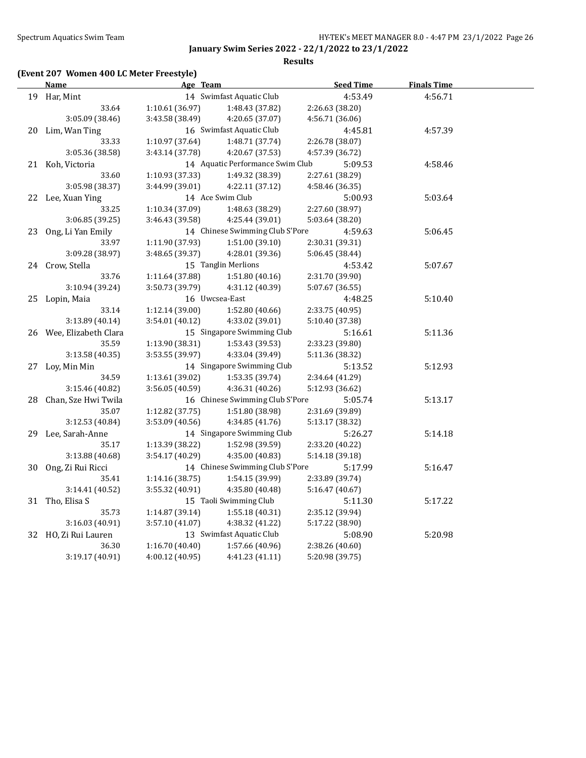**Results**

# **(Event 207 Women 400 LC Meter Freestyle)**

| <b>Name</b>             | Age Team        |                                  | <b>Seed Time</b> | <b>Finals Time</b> |  |
|-------------------------|-----------------|----------------------------------|------------------|--------------------|--|
| 19 Har, Mint            |                 | 14 Swimfast Aquatic Club         | 4:53.49          | 4:56.71            |  |
| 33.64                   | 1:10.61(36.97)  | 1:48.43 (37.82)                  | 2:26.63 (38.20)  |                    |  |
| 3:05.09 (38.46)         | 3:43.58 (38.49) | 4:20.65 (37.07)                  | 4:56.71 (36.06)  |                    |  |
| 20 Lim, Wan Ting        |                 | 16 Swimfast Aquatic Club         | 4:45.81          | 4:57.39            |  |
| 33.33                   | 1:10.97 (37.64) | 1:48.71 (37.74)                  | 2:26.78 (38.07)  |                    |  |
| 3:05.36 (38.58)         | 3:43.14 (37.78) | 4:20.67 (37.53)                  | 4:57.39 (36.72)  |                    |  |
| 21 Koh, Victoria        |                 | 14 Aquatic Performance Swim Club | 5:09.53          | 4:58.46            |  |
| 33.60                   | 1:10.93 (37.33) | 1:49.32 (38.39)                  | 2:27.61 (38.29)  |                    |  |
| 3:05.98 (38.37)         | 3:44.99 (39.01) | 4:22.11 (37.12)                  | 4:58.46 (36.35)  |                    |  |
| 22 Lee, Xuan Ying       |                 | 14 Ace Swim Club                 | 5:00.93          | 5:03.64            |  |
| 33.25                   | 1:10.34 (37.09) | 1:48.63 (38.29)                  | 2:27.60 (38.97)  |                    |  |
| 3:06.85 (39.25)         | 3:46.43 (39.58) | 4:25.44 (39.01)                  | 5:03.64 (38.20)  |                    |  |
| 23 Ong, Li Yan Emily    |                 | 14 Chinese Swimming Club S'Pore  | 4:59.63          | 5:06.45            |  |
| 33.97                   | 1:11.90 (37.93) | 1:51.00(39.10)                   | 2:30.31 (39.31)  |                    |  |
| 3:09.28 (38.97)         | 3:48.65 (39.37) | 4:28.01 (39.36)                  | 5:06.45 (38.44)  |                    |  |
| 24 Crow, Stella         |                 | 15 Tanglin Merlions              | 4:53.42          | 5:07.67            |  |
| 33.76                   | 1:11.64 (37.88) | 1:51.80(40.16)                   | 2:31.70 (39.90)  |                    |  |
| 3:10.94 (39.24)         | 3:50.73 (39.79) | 4:31.12 (40.39)                  | 5:07.67 (36.55)  |                    |  |
| 25 Lopin, Maia          | 16 Uwcsea-East  |                                  | 4:48.25          | 5:10.40            |  |
| 33.14                   | 1:12.14(39.00)  | 1:52.80 (40.66)                  | 2:33.75 (40.95)  |                    |  |
| 3:13.89 (40.14)         | 3:54.01 (40.12) | 4:33.02 (39.01)                  | 5:10.40 (37.38)  |                    |  |
| 26 Wee, Elizabeth Clara |                 | 15 Singapore Swimming Club       | 5:16.61          | 5:11.36            |  |
| 35.59                   | 1:13.90 (38.31) | 1:53.43 (39.53)                  | 2:33.23 (39.80)  |                    |  |
| 3:13.58 (40.35)         | 3:53.55 (39.97) | 4:33.04 (39.49)                  | 5:11.36 (38.32)  |                    |  |
| 27 Loy, Min Min         |                 | 14 Singapore Swimming Club       | 5:13.52          | 5:12.93            |  |
| 34.59                   | 1:13.61 (39.02) | 1:53.35 (39.74)                  | 2:34.64 (41.29)  |                    |  |
| 3:15.46 (40.82)         | 3:56.05 (40.59) | 4:36.31 (40.26)                  | 5:12.93 (36.62)  |                    |  |
| 28 Chan, Sze Hwi Twila  |                 | 16 Chinese Swimming Club S'Pore  | 5:05.74          | 5:13.17            |  |
| 35.07                   | 1:12.82 (37.75) | 1:51.80 (38.98)                  | 2:31.69 (39.89)  |                    |  |
| 3:12.53 (40.84)         | 3:53.09 (40.56) | 4:34.85 (41.76)                  | 5:13.17 (38.32)  |                    |  |
| 29 Lee, Sarah-Anne      |                 | 14 Singapore Swimming Club       | 5:26.27          | 5:14.18            |  |
| 35.17                   | 1:13.39 (38.22) | 1:52.98 (39.59)                  | 2:33.20 (40.22)  |                    |  |
| 3:13.88 (40.68)         | 3:54.17 (40.29) | 4:35.00 (40.83)                  | 5:14.18 (39.18)  |                    |  |
| 30 Ong, Zi Rui Ricci    |                 | 14 Chinese Swimming Club S'Pore  | 5:17.99          | 5:16.47            |  |
| 35.41                   | 1:14.16 (38.75) | 1:54.15 (39.99)                  | 2:33.89 (39.74)  |                    |  |
| 3:14.41 (40.52)         | 3:55.32 (40.91) | 4:35.80 (40.48)                  | 5:16.47 (40.67)  |                    |  |
| 31 Tho, Elisa S         |                 | 15 Taoli Swimming Club           | 5:11.30          | 5:17.22            |  |
| 35.73                   | 1:14.87 (39.14) | 1:55.18 (40.31)                  | 2:35.12 (39.94)  |                    |  |
| 3:16.03 (40.91)         | 3:57.10 (41.07) | 4:38.32 (41.22)                  | 5:17.22 (38.90)  |                    |  |
| 32 HO, Zi Rui Lauren    |                 | 13 Swimfast Aquatic Club         | 5:08.90          | 5:20.98            |  |
| 36.30                   | 1:16.70(40.40)  | 1:57.66 (40.96)                  | 2:38.26 (40.60)  |                    |  |
| 3:19.17(40.91)          | 4:00.12 (40.95) | 4:41.23(41.11)                   | 5:20.98 (39.75)  |                    |  |
|                         |                 |                                  |                  |                    |  |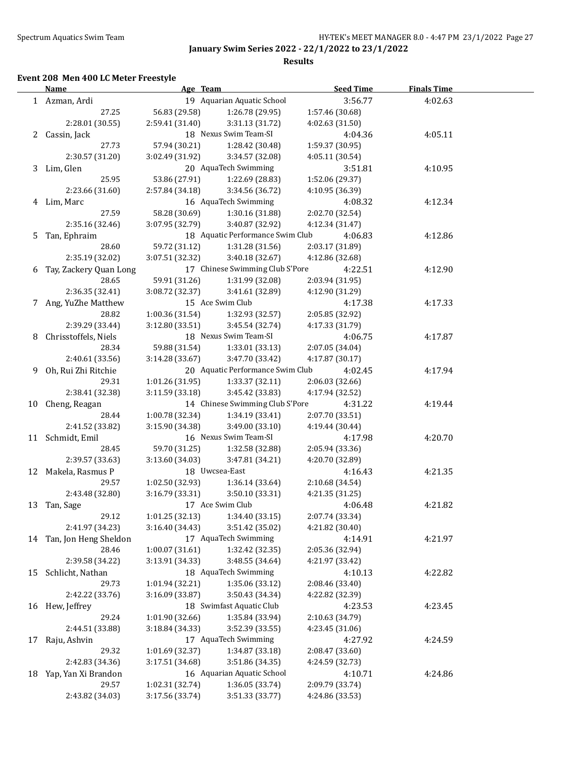**Results**

## **Event 208 Men 400 LC Meter Freestyle**

|    | <b>Name</b>                                 | Age Team        |                                                    | <b>Seed Time</b> | <b>Finals Time</b> |  |
|----|---------------------------------------------|-----------------|----------------------------------------------------|------------------|--------------------|--|
|    | 19 Aquarian Aquatic School<br>1 Azman, Ardi |                 | 3:56.77                                            | 4:02.63          |                    |  |
|    | 27.25                                       | 56.83 (29.58)   | 1:26.78 (29.95)                                    | 1:57.46 (30.68)  |                    |  |
|    | 2:28.01 (30.55)                             | 2:59.41 (31.40) | 3:31.13 (31.72)                                    | 4:02.63 (31.50)  |                    |  |
|    | 2 Cassin, Jack                              |                 | 18 Nexus Swim Team-SI                              | 4:04.36          | 4:05.11            |  |
|    | 27.73                                       | 57.94 (30.21)   | 1:28.42 (30.48)                                    | 1:59.37 (30.95)  |                    |  |
|    | 2:30.57 (31.20)                             | 3:02.49 (31.92) | 3:34.57 (32.08)                                    | 4:05.11 (30.54)  |                    |  |
|    | 3 Lim, Glen                                 |                 | 20 AquaTech Swimming                               | 3:51.81          | 4:10.95            |  |
|    | 25.95                                       | 53.86 (27.91)   | 1:22.69 (28.83)                                    | 1:52.06 (29.37)  |                    |  |
|    | 2:23.66 (31.60)                             | 2:57.84 (34.18) | 3:34.56 (36.72)                                    | 4:10.95 (36.39)  |                    |  |
|    | 4 Lim, Marc                                 |                 | 16 AquaTech Swimming                               | 4:08.32          | 4:12.34            |  |
|    | 27.59                                       | 58.28 (30.69)   | 1:30.16 (31.88)                                    | 2:02.70 (32.54)  |                    |  |
|    | 2:35.16 (32.46)                             | 3:07.95 (32.79) | 3:40.87 (32.92)                                    | 4:12.34 (31.47)  |                    |  |
|    | 5 Tan, Ephraim                              |                 | 18 Aquatic Performance Swim Club                   | 4:06.83          | 4:12.86            |  |
|    | 28.60                                       | 59.72 (31.12)   | 1:31.28 (31.56)                                    | 2:03.17 (31.89)  |                    |  |
|    | 2:35.19 (32.02)                             | 3:07.51 (32.32) | 3:40.18 (32.67)                                    | 4:12.86 (32.68)  |                    |  |
|    | 6 Tay, Zackery Quan Long                    |                 | 17 Chinese Swimming Club S'Pore                    | 4:22.51          | 4:12.90            |  |
|    | 28.65                                       | 59.91 (31.26)   | 1:31.99 (32.08)                                    | 2:03.94 (31.95)  |                    |  |
|    | 2:36.35 (32.41)                             | 3:08.72 (32.37) | 3:41.61 (32.89)                                    | 4:12.90 (31.29)  |                    |  |
|    | 7 Ang, YuZhe Matthew                        |                 | 15 Ace Swim Club                                   | 4:17.38          | 4:17.33            |  |
|    | 28.82                                       | 1:00.36 (31.54) | 1:32.93 (32.57)                                    | 2:05.85 (32.92)  |                    |  |
|    | 2:39.29 (33.44)                             | 3:12.80(33.51)  | 3:45.54 (32.74)                                    | 4:17.33 (31.79)  |                    |  |
|    | 8 Chrisstoffels, Niels                      |                 | 18 Nexus Swim Team-SI                              | 4:06.75          | 4:17.87            |  |
|    | 28.34                                       | 59.88 (31.54)   | 1:33.01 (33.13)                                    | 2:07.05 (34.04)  |                    |  |
|    | 2:40.61 (33.56)                             | 3:14.28 (33.67) | 3:47.70 (33.42)                                    | 4:17.87 (30.17)  |                    |  |
| 9. | Oh, Rui Zhi Ritchie                         |                 | 20 Aquatic Performance Swim Club                   | 4:02.45          |                    |  |
|    | 29.31                                       |                 |                                                    | 2:06.03 (32.66)  | 4:17.94            |  |
|    | 2:38.41 (32.38)                             | 1:01.26 (31.95) | 1:33.37 (32.11)                                    |                  |                    |  |
|    |                                             | 3:11.59 (33.18) | 3:45.42 (33.83)<br>14 Chinese Swimming Club S'Pore | 4:17.94 (32.52)  |                    |  |
|    | 10 Cheng, Reagan                            |                 |                                                    | 4:31.22          | 4:19.44            |  |
|    | 28.44                                       | 1:00.78 (32.34) | 1:34.19 (33.41)                                    | 2:07.70 (33.51)  |                    |  |
|    | 2:41.52 (33.82)                             | 3:15.90 (34.38) | 3:49.00 (33.10)                                    | 4:19.44 (30.44)  |                    |  |
|    | 11 Schmidt, Emil                            |                 | 16 Nexus Swim Team-SI                              | 4:17.98          | 4:20.70            |  |
|    | 28.45                                       | 59.70 (31.25)   | 1:32.58 (32.88)                                    | 2:05.94 (33.36)  |                    |  |
|    | 2:39.57 (33.63)                             | 3:13.60 (34.03) | 3:47.81 (34.21)                                    | 4:20.70 (32.89)  |                    |  |
|    | 12 Makela, Rasmus P                         |                 | 18 Uwcsea-East                                     | 4:16.43          | 4:21.35            |  |
|    | 29.57                                       | 1:02.50 (32.93) | 1:36.14 (33.64)                                    | 2:10.68 (34.54)  |                    |  |
|    | 2:43.48 (32.80)                             | 3:16.79 (33.31) | 3:50.10 (33.31)                                    | 4:21.35 (31.25)  |                    |  |
|    | 13 Tan, Sage                                |                 | 17 Ace Swim Club                                   | 4:06.48          | 4:21.82            |  |
|    | 29.12                                       | 1:01.25 (32.13) | 1:34.40 (33.15)                                    | 2:07.74 (33.34)  |                    |  |
|    | 2:41.97 (34.23)                             | 3:16.40 (34.43) | 3:51.42 (35.02)                                    | 4:21.82 (30.40)  |                    |  |
|    | 14 Tan, Jon Heng Sheldon                    |                 | 17 AquaTech Swimming                               | 4:14.91          | 4:21.97            |  |
|    | 28.46                                       | 1:00.07(31.61)  | 1:32.42 (32.35)                                    | 2:05.36 (32.94)  |                    |  |
|    | 2:39.58 (34.22)                             | 3:13.91 (34.33) | 3:48.55 (34.64)                                    | 4:21.97 (33.42)  |                    |  |
| 15 | Schlicht, Nathan                            |                 | 18 AquaTech Swimming                               | 4:10.13          | 4:22.82            |  |
|    | 29.73                                       | 1:01.94 (32.21) | 1:35.06 (33.12)                                    | 2:08.46 (33.40)  |                    |  |
|    | 2:42.22 (33.76)                             | 3:16.09 (33.87) | 3:50.43 (34.34)                                    | 4:22.82 (32.39)  |                    |  |
| 16 | Hew, Jeffrey                                |                 | 18 Swimfast Aquatic Club                           | 4:23.53          | 4:23.45            |  |
|    | 29.24                                       | 1:01.90 (32.66) | 1:35.84 (33.94)                                    | 2:10.63 (34.79)  |                    |  |
|    | 2:44.51 (33.88)                             | 3:18.84 (34.33) | 3:52.39 (33.55)                                    | 4:23.45 (31.06)  |                    |  |
| 17 | Raju, Ashvin                                |                 | 17 AquaTech Swimming                               | 4:27.92          | 4:24.59            |  |
|    | 29.32                                       | 1:01.69 (32.37) | 1:34.87 (33.18)                                    | 2:08.47 (33.60)  |                    |  |
|    | 2:42.83 (34.36)                             | 3:17.51 (34.68) | 3:51.86 (34.35)                                    | 4:24.59 (32.73)  |                    |  |
| 18 | Yap, Yan Xi Brandon                         |                 | 16 Aquarian Aquatic School                         | 4:10.71          | 4:24.86            |  |
|    | 29.57                                       | 1:02.31 (32.74) | 1:36.05 (33.74)                                    | 2:09.79 (33.74)  |                    |  |
|    | 2:43.82 (34.03)                             | 3:17.56 (33.74) | 3:51.33 (33.77)                                    | 4:24.86 (33.53)  |                    |  |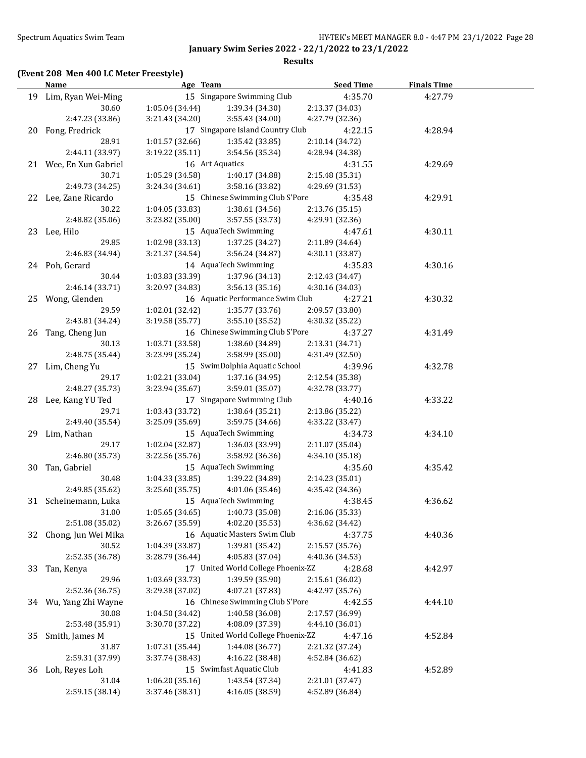#### **Results**

## **(Event 208 Men 400 LC Meter Freestyle)**

|    | <b>Name</b>            | Age Team                          |                                    | <b>Seed Time</b> | <b>Finals Time</b> |  |
|----|------------------------|-----------------------------------|------------------------------------|------------------|--------------------|--|
|    | 19 Lim, Ryan Wei-Ming  |                                   | 15 Singapore Swimming Club         | 4:35.70          | 4:27.79            |  |
|    | 30.60                  | 1:05.04(34.44)                    | 1:39.34 (34.30)                    | 2:13.37 (34.03)  |                    |  |
|    | 2:47.23 (33.86)        | 3:21.43 (34.20)                   | 3:55.43 (34.00)                    | 4:27.79 (32.36)  |                    |  |
|    | 20 Fong, Fredrick      |                                   | 17 Singapore Island Country Club   | 4:22.15          | 4:28.94            |  |
|    | 28.91                  | 1:01.57 (32.66)                   | 1:35.42 (33.85)                    | 2:10.14 (34.72)  |                    |  |
|    | 2:44.11 (33.97)        | 3:19.22 (35.11)                   | 3:54.56 (35.34)                    | 4:28.94 (34.38)  |                    |  |
|    | 21 Wee, En Xun Gabriel | 16 Art Aquatics                   |                                    | 4:31.55          | 4:29.69            |  |
|    | 30.71                  | 1:05.29 (34.58)                   | 1:40.17 (34.88)                    | 2:15.48 (35.31)  |                    |  |
|    | 2:49.73 (34.25)        | 3:24.34 (34.61)                   | 3:58.16 (33.82)                    | 4:29.69 (31.53)  |                    |  |
|    | 22 Lee, Zane Ricardo   |                                   | 15 Chinese Swimming Club S'Pore    | 4:35.48          | 4:29.91            |  |
|    | 30.22                  | 1:04.05(33.83)                    | 1:38.61(34.56)                     | 2:13.76 (35.15)  |                    |  |
|    | 2:48.82 (35.06)        | 3:23.82 (35.00)                   | 3:57.55 (33.73)                    | 4:29.91 (32.36)  |                    |  |
|    |                        |                                   | 15 AquaTech Swimming               |                  |                    |  |
|    | 23 Lee, Hilo           |                                   |                                    | 4:47.61          | 4:30.11            |  |
|    | 29.85                  | 1:02.98(33.13)                    | 1:37.25 (34.27)                    | 2:11.89 (34.64)  |                    |  |
|    | 2:46.83 (34.94)        | 3:21.37 (34.54)                   | 3:56.24 (34.87)                    | 4:30.11 (33.87)  |                    |  |
|    | 24 Poh, Gerard         |                                   | 14 AquaTech Swimming               | 4:35.83          | 4:30.16            |  |
|    | 30.44                  | 1:03.83 (33.39)                   | 1:37.96 (34.13)                    | 2:12.43 (34.47)  |                    |  |
|    | 2:46.14 (33.71)        | 3:20.97 (34.83)                   | 3:56.13(35.16)                     | 4:30.16 (34.03)  |                    |  |
|    | 25 Wong, Glenden       |                                   | 16 Aquatic Performance Swim Club   | 4:27.21          | 4:30.32            |  |
|    | 29.59                  | 1:02.01(32.42)                    | 1:35.77 (33.76)                    | 2:09.57 (33.80)  |                    |  |
|    | 2:43.81 (34.24)        | 3:19.58 (35.77)                   | 3:55.10 (35.52)                    | 4:30.32 (35.22)  |                    |  |
|    | 26 Tang, Cheng Jun     |                                   | 16 Chinese Swimming Club S'Pore    | 4:37.27          | 4:31.49            |  |
|    | 30.13                  | 1:03.71 (33.58)                   | 1:38.60 (34.89)                    | 2:13.31 (34.71)  |                    |  |
|    | 2:48.75 (35.44)        | 3:23.99 (35.24)                   | 3:58.99 (35.00)                    | 4:31.49 (32.50)  |                    |  |
|    | 27 Lim, Cheng Yu       |                                   | 15 SwimDolphia Aquatic School      | 4:39.96          | 4:32.78            |  |
|    | 29.17                  | 1:02.21 (33.04)                   | 1:37.16 (34.95)                    | 2:12.54 (35.38)  |                    |  |
|    | 2:48.27 (35.73)        | 3:23.94 (35.67)                   | 3:59.01 (35.07)                    | 4:32.78 (33.77)  |                    |  |
|    | 28 Lee, Kang YU Ted    |                                   | 17 Singapore Swimming Club         | 4:40.16          | 4:33.22            |  |
|    | 29.71                  | 1:03.43 (33.72)                   | 1:38.64 (35.21)                    | 2:13.86 (35.22)  |                    |  |
|    | 2:49.40 (35.54)        | 3:25.09 (35.69)                   | 3:59.75 (34.66)                    | 4:33.22 (33.47)  |                    |  |
|    | 29 Lim, Nathan         |                                   | 15 AquaTech Swimming               | 4:34.73          | 4:34.10            |  |
|    | 29.17                  | 1:02.04 (32.87)                   | 1:36.03 (33.99)                    | 2:11.07 (35.04)  |                    |  |
|    | 2:46.80 (35.73)        | 3:22.56 (35.76)                   | 3:58.92 (36.36)                    | 4:34.10 (35.18)  |                    |  |
|    | 30 Tan, Gabriel        |                                   | 15 AquaTech Swimming               | 4:35.60          | 4:35.42            |  |
|    | 30.48                  | 1:04.33 (33.85)                   | 1:39.22 (34.89)                    | 2:14.23 (35.01)  |                    |  |
|    | 2:49.85 (35.62)        | 3:25.60(35.75)                    | 4:01.06 (35.46)                    | 4:35.42 (34.36)  |                    |  |
|    | 31 Scheinemann, Luka   |                                   | 15 AquaTech Swimming               | 4:38.45          | 4:36.62            |  |
|    | 31.00                  | $1:05.65(34.65)$ $1:40.73(35.08)$ |                                    | 2:16.06 (35.33)  |                    |  |
|    | 2:51.08 (35.02)        | 3:26.67 (35.59)                   | 4:02.20 (35.53)                    | 4:36.62 (34.42)  |                    |  |
| 32 | Chong, Jun Wei Mika    |                                   | 16 Aquatic Masters Swim Club       | 4:37.75          | 4:40.36            |  |
|    | 30.52                  | 1:04.39 (33.87)                   | 1:39.81 (35.42)                    | 2:15.57 (35.76)  |                    |  |
|    | 2:52.35 (36.78)        | 3:28.79 (36.44)                   | 4:05.83 (37.04)                    | 4:40.36 (34.53)  |                    |  |
| 33 | Tan, Kenya             |                                   | 17 United World College Phoenix-ZZ | 4:28.68          | 4:42.97            |  |
|    | 29.96                  | 1:03.69 (33.73)                   | 1:39.59 (35.90)                    | 2:15.61 (36.02)  |                    |  |
|    | 2:52.36 (36.75)        | 3:29.38 (37.02)                   | 4:07.21 (37.83)                    | 4:42.97 (35.76)  |                    |  |
|    | 34 Wu, Yang Zhi Wayne  |                                   | 16 Chinese Swimming Club S'Pore    | 4:42.55          | 4:44.10            |  |
|    | 30.08                  | 1:04.50 (34.42)                   | 1:40.58 (36.08)                    | 2:17.57 (36.99)  |                    |  |
|    | 2:53.48 (35.91)        | 3:30.70 (37.22)                   | 4:08.09 (37.39)                    | 4:44.10 (36.01)  |                    |  |
| 35 | Smith, James M         |                                   | 15 United World College Phoenix-ZZ | 4:47.16          | 4:52.84            |  |
|    | 31.87                  | 1:07.31 (35.44)                   | 1:44.08 (36.77)                    | 2:21.32 (37.24)  |                    |  |
|    | 2:59.31 (37.99)        | 3:37.74 (38.43)                   | 4:16.22 (38.48)                    | 4:52.84 (36.62)  |                    |  |
| 36 | Loh, Reyes Loh         |                                   | 15 Swimfast Aquatic Club           | 4:41.83          | 4:52.89            |  |
|    | 31.04                  | 1:06.20 (35.16)                   | 1:43.54 (37.34)                    | 2:21.01 (37.47)  |                    |  |
|    | 2:59.15 (38.14)        | 3:37.46 (38.31)                   | 4:16.05 (38.59)                    | 4:52.89 (36.84)  |                    |  |
|    |                        |                                   |                                    |                  |                    |  |